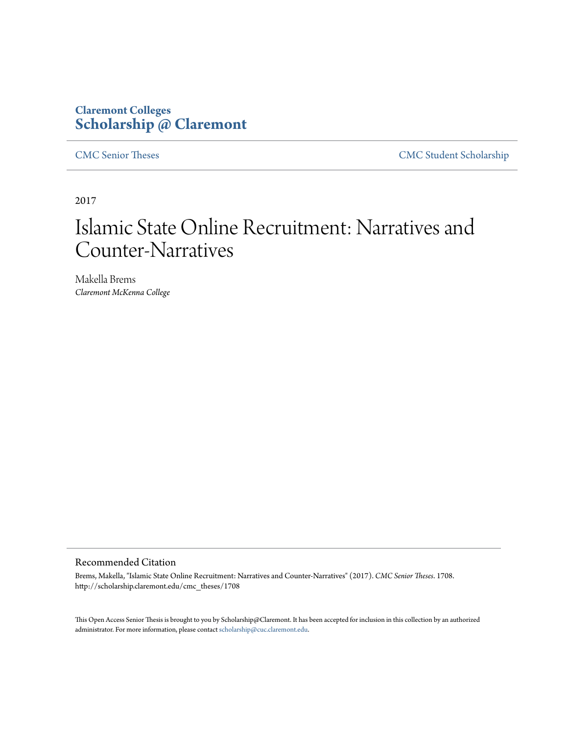# **Claremont Colleges [Scholarship @ Claremont](http://scholarship.claremont.edu)**

[CMC Senior Theses](http://scholarship.claremont.edu/cmc_theses) [CMC Student Scholarship](http://scholarship.claremont.edu/cmc_student)

2017

# Islamic State Online Recruitment: Narratives and Counter-Narratives

Makella Brems *Claremont McKenna College*

# Recommended Citation

Brems, Makella, "Islamic State Online Recruitment: Narratives and Counter-Narratives" (2017). *CMC Senior Theses*. 1708. http://scholarship.claremont.edu/cmc\_theses/1708

This Open Access Senior Thesis is brought to you by Scholarship@Claremont. It has been accepted for inclusion in this collection by an authorized administrator. For more information, please contact [scholarship@cuc.claremont.edu.](mailto:scholarship@cuc.claremont.edu)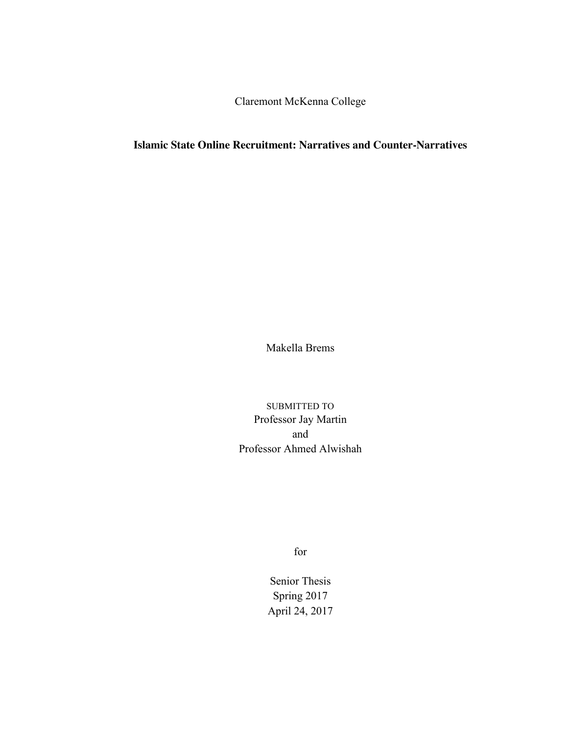Claremont McKenna College

# **Islamic State Online Recruitment: Narratives and Counter-Narratives**

Makella Brems

SUBMITTED TO Professor Jay Martin and Professor Ahmed Alwishah

for

Senior Thesis Spring 2017 April 24, 2017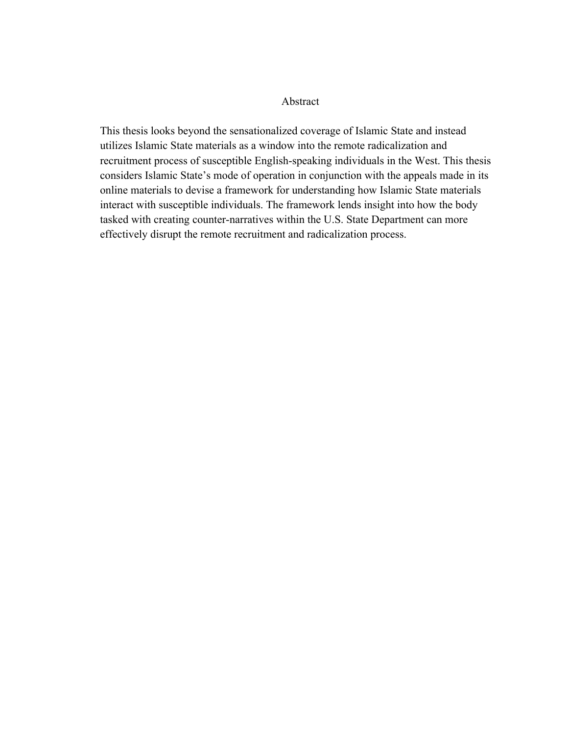# Abstract

This thesis looks beyond the sensationalized coverage of Islamic State and instead utilizes Islamic State materials as a window into the remote radicalization and recruitment process of susceptible English-speaking individuals in the West. This thesis considers Islamic State's mode of operation in conjunction with the appeals made in its online materials to devise a framework for understanding how Islamic State materials interact with susceptible individuals. The framework lends insight into how the body tasked with creating counter-narratives within the U.S. State Department can more effectively disrupt the remote recruitment and radicalization process.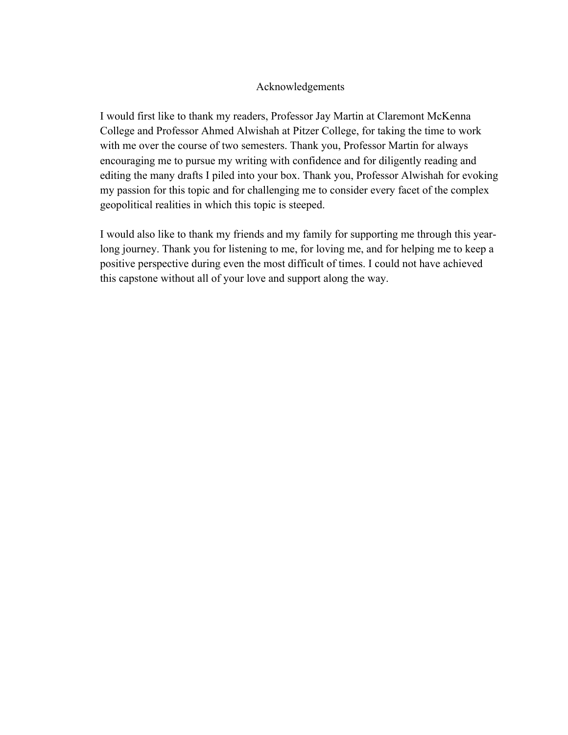# Acknowledgements

I would first like to thank my readers, Professor Jay Martin at Claremont McKenna College and Professor Ahmed Alwishah at Pitzer College, for taking the time to work with me over the course of two semesters. Thank you, Professor Martin for always encouraging me to pursue my writing with confidence and for diligently reading and editing the many drafts I piled into your box. Thank you, Professor Alwishah for evoking my passion for this topic and for challenging me to consider every facet of the complex geopolitical realities in which this topic is steeped.

I would also like to thank my friends and my family for supporting me through this yearlong journey. Thank you for listening to me, for loving me, and for helping me to keep a positive perspective during even the most difficult of times. I could not have achieved this capstone without all of your love and support along the way.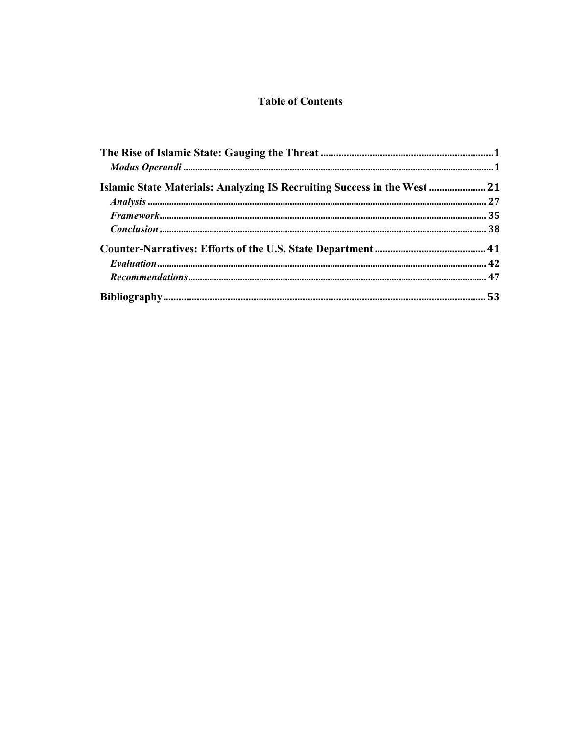# **Table of Contents**

| Islamic State Materials: Analyzing IS Recruiting Success in the West  21 |  |
|--------------------------------------------------------------------------|--|
|                                                                          |  |
|                                                                          |  |
|                                                                          |  |
|                                                                          |  |
|                                                                          |  |
|                                                                          |  |
|                                                                          |  |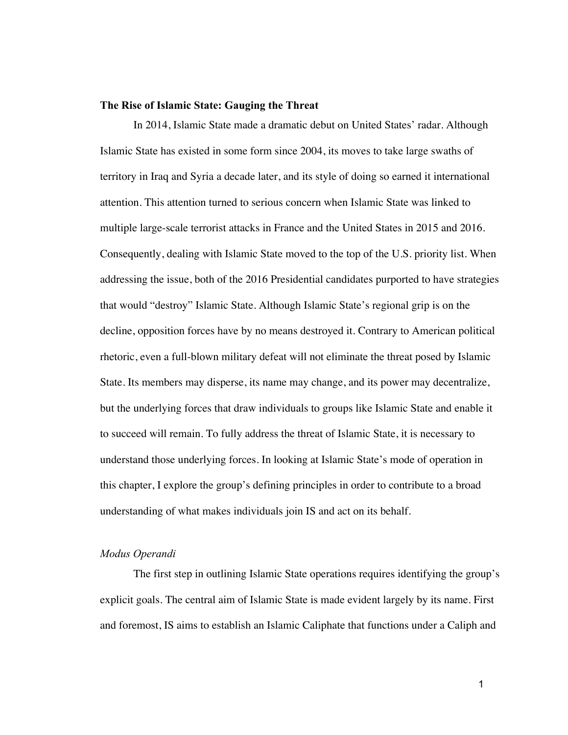#### **The Rise of Islamic State: Gauging the Threat**

In 2014, Islamic State made a dramatic debut on United States' radar. Although Islamic State has existed in some form since 2004, its moves to take large swaths of territory in Iraq and Syria a decade later, and its style of doing so earned it international attention. This attention turned to serious concern when Islamic State was linked to multiple large-scale terrorist attacks in France and the United States in 2015 and 2016. Consequently, dealing with Islamic State moved to the top of the U.S. priority list. When addressing the issue, both of the 2016 Presidential candidates purported to have strategies that would "destroy" Islamic State. Although Islamic State's regional grip is on the decline, opposition forces have by no means destroyed it. Contrary to American political rhetoric, even a full-blown military defeat will not eliminate the threat posed by Islamic State. Its members may disperse, its name may change, and its power may decentralize, but the underlying forces that draw individuals to groups like Islamic State and enable it to succeed will remain. To fully address the threat of Islamic State, it is necessary to understand those underlying forces. In looking at Islamic State's mode of operation in this chapter, I explore the group's defining principles in order to contribute to a broad understanding of what makes individuals join IS and act on its behalf.

# *Modus Operandi*

The first step in outlining Islamic State operations requires identifying the group's explicit goals. The central aim of Islamic State is made evident largely by its name. First and foremost, IS aims to establish an Islamic Caliphate that functions under a Caliph and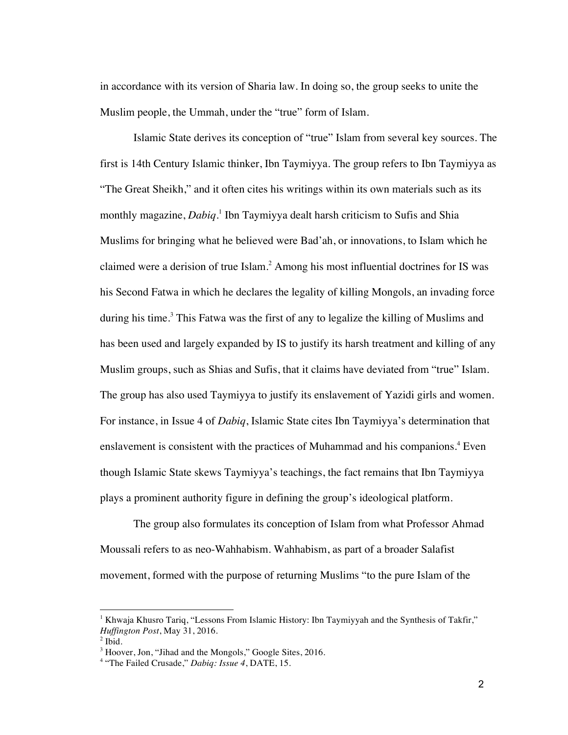in accordance with its version of Sharia law. In doing so, the group seeks to unite the Muslim people, the Ummah, under the "true" form of Islam.

Islamic State derives its conception of "true" Islam from several key sources. The first is 14th Century Islamic thinker, Ibn Taymiyya. The group refers to Ibn Taymiyya as "The Great Sheikh," and it often cites his writings within its own materials such as its monthly magazine, *Dabiq*. <sup>1</sup> Ibn Taymiyya dealt harsh criticism to Sufis and Shia Muslims for bringing what he believed were Bad'ah, or innovations, to Islam which he claimed were a derision of true Islam.<sup>2</sup> Among his most influential doctrines for IS was his Second Fatwa in which he declares the legality of killing Mongols, an invading force during his time.<sup>3</sup> This Fatwa was the first of any to legalize the killing of Muslims and has been used and largely expanded by IS to justify its harsh treatment and killing of any Muslim groups, such as Shias and Sufis, that it claims have deviated from "true" Islam. The group has also used Taymiyya to justify its enslavement of Yazidi girls and women. For instance, in Issue 4 of *Dabiq*, Islamic State cites Ibn Taymiyya's determination that enslavement is consistent with the practices of Muhammad and his companions.<sup>4</sup> Even though Islamic State skews Taymiyya's teachings, the fact remains that Ibn Taymiyya plays a prominent authority figure in defining the group's ideological platform.

The group also formulates its conception of Islam from what Professor Ahmad Moussali refers to as neo-Wahhabism. Wahhabism, as part of a broader Salafist movement, formed with the purpose of returning Muslims "to the pure Islam of the

<sup>&</sup>lt;sup>1</sup> Khwaja Khusro Tariq, "Lessons From Islamic History: Ibn Taymiyyah and the Synthesis of Takfir," *Huffington Post*, May 31, 2016.

 $<sup>2</sup>$  Ibid.</sup>

<sup>&</sup>lt;sup>3</sup> Hoover, Jon, "Jihad and the Mongols," Google Sites, 2016.

<sup>4</sup> "The Failed Crusade," *Dabiq: Issue 4*, DATE, 15.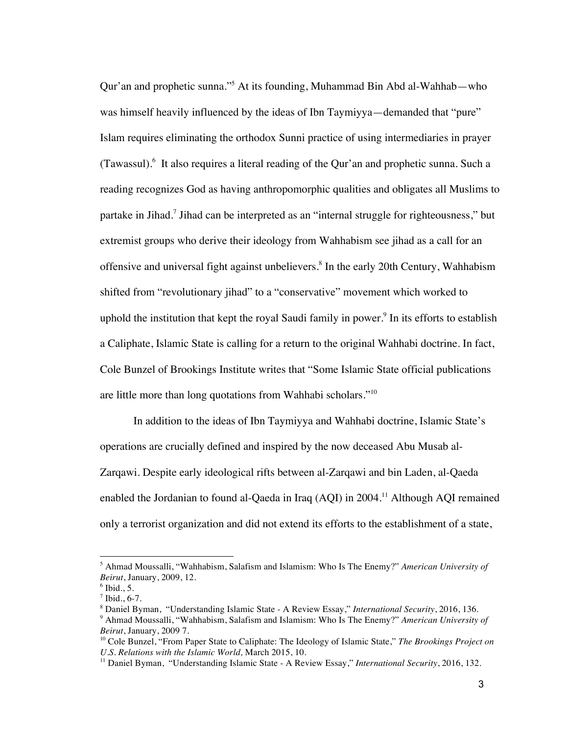Qur'an and prophetic sunna."5 At its founding, Muhammad Bin Abd al-Wahhab—who was himself heavily influenced by the ideas of Ibn Taymiyya—demanded that "pure" Islam requires eliminating the orthodox Sunni practice of using intermediaries in prayer (Tawassul).<sup>6</sup> It also requires a literal reading of the Qur'an and prophetic sunna. Such a reading recognizes God as having anthropomorphic qualities and obligates all Muslims to partake in Jihad.7 Jihad can be interpreted as an "internal struggle for righteousness," but extremist groups who derive their ideology from Wahhabism see jihad as a call for an offensive and universal fight against unbelievers.<sup>8</sup> In the early 20th Century, Wahhabism shifted from "revolutionary jihad" to a "conservative" movement which worked to uphold the institution that kept the royal Saudi family in power.<sup>9</sup> In its efforts to establish a Caliphate, Islamic State is calling for a return to the original Wahhabi doctrine. In fact, Cole Bunzel of Brookings Institute writes that "Some Islamic State official publications are little more than long quotations from Wahhabi scholars."<sup>10</sup>

In addition to the ideas of Ibn Taymiyya and Wahhabi doctrine, Islamic State's operations are crucially defined and inspired by the now deceased Abu Musab al-Zarqawi. Despite early ideological rifts between al-Zarqawi and bin Laden, al-Qaeda enabled the Jordanian to found al-Qaeda in Iraq  $(AQI)$  in 2004.<sup>11</sup> Although AQI remained only a terrorist organization and did not extend its efforts to the establishment of a state,

 $\overline{a}$ 

<sup>5</sup> Ahmad Moussalli, "Wahhabism, Salafism and Islamism: Who Is The Enemy?" *American University of Beirut*, January, 2009, 12.

 $6$  Ibid., 5.

 $7$  Ibid., 6-7.

<sup>8</sup> Daniel Byman, "Understanding Islamic State - A Review Essay," *International Security*, 2016, 136.

<sup>9</sup> Ahmad Moussalli, "Wahhabism, Salafism and Islamism: Who Is The Enemy?" *American University of Beirut*, January, 2009 7.

<sup>10</sup> Cole Bunzel, "From Paper State to Caliphate: The Ideology of Islamic State," *The Brookings Project on U.S. Relations with the Islamic World,* March 2015, 10.

<sup>11</sup> Daniel Byman, "Understanding Islamic State - A Review Essay," *International Security*, 2016, 132.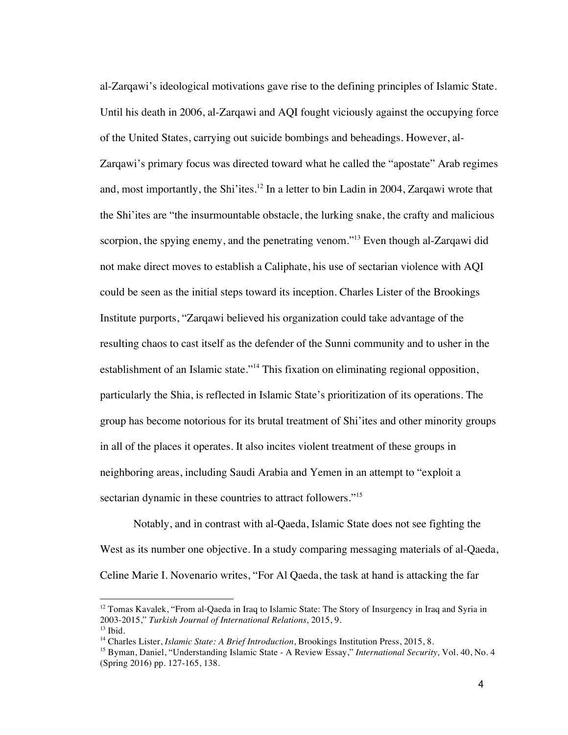al-Zarqawi's ideological motivations gave rise to the defining principles of Islamic State. Until his death in 2006, al-Zarqawi and AQI fought viciously against the occupying force of the United States, carrying out suicide bombings and beheadings. However, al-Zarqawi's primary focus was directed toward what he called the "apostate" Arab regimes and, most importantly, the Shi'ites.<sup>12</sup> In a letter to bin Ladin in 2004, Zarqawi wrote that the Shi'ites are "the insurmountable obstacle, the lurking snake, the crafty and malicious scorpion, the spying enemy, and the penetrating venom."<sup>13</sup> Even though al-Zarqawi did not make direct moves to establish a Caliphate, his use of sectarian violence with AQI could be seen as the initial steps toward its inception. Charles Lister of the Brookings Institute purports, "Zarqawi believed his organization could take advantage of the resulting chaos to cast itself as the defender of the Sunni community and to usher in the establishment of an Islamic state."<sup>14</sup> This fixation on eliminating regional opposition, particularly the Shia, is reflected in Islamic State's prioritization of its operations. The group has become notorious for its brutal treatment of Shi'ites and other minority groups in all of the places it operates. It also incites violent treatment of these groups in neighboring areas, including Saudi Arabia and Yemen in an attempt to "exploit a sectarian dynamic in these countries to attract followers."<sup>15</sup>

Notably, and in contrast with al-Qaeda, Islamic State does not see fighting the West as its number one objective. In a study comparing messaging materials of al-Qaeda, Celine Marie I. Novenario writes, "For Al Qaeda, the task at hand is attacking the far

<sup>&</sup>lt;sup>12</sup> Tomas Kavalek, "From al-Qaeda in Iraq to Islamic State: The Story of Insurgency in Iraq and Syria in 2003-2015," *Turkish Journal of International Relations,* 2015, 9.  $13$  Ibid.

<sup>14</sup> Charles Lister, *Islamic State: A Brief Introduction*, Brookings Institution Press, 2015, 8.

<sup>&</sup>lt;sup>15</sup> Byman, Daniel, "Understanding Islamic State - A Review Essay," *International Security*, Vol. 40, No. 4 (Spring 2016) pp. 127-165, 138.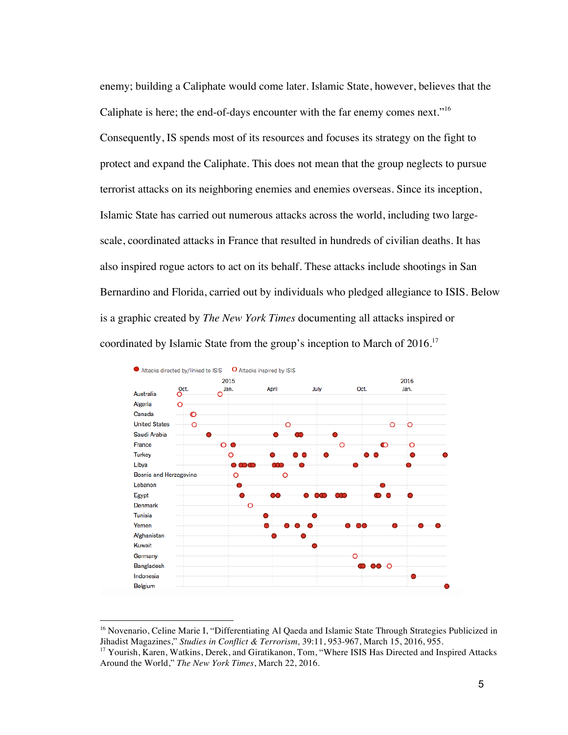enemy; building a Caliphate would come later. Islamic State, however, believes that the Caliphate is here; the end-of-days encounter with the far enemy comes next."<sup>16</sup> Consequently, IS spends most of its resources and focuses its strategy on the fight to protect and expand the Caliphate. This does not mean that the group neglects to pursue terrorist attacks on its neighboring enemies and enemies overseas. Since its inception, Islamic State has carried out numerous attacks across the world, including two largescale, coordinated attacks in France that resulted in hundreds of civilian deaths. It has also inspired rogue actors to act on its behalf. These attacks include shootings in San Bernardino and Florida, carried out by individuals who pledged allegiance to ISIS. Below is a graphic created by *The New York Times* documenting all attacks inspired or coordinated by Islamic State from the group's inception to March of 2016.<sup>17</sup>



<sup>&</sup>lt;sup>16</sup> Novenario, Celine Marie I, "Differentiating Al Qaeda and Islamic State Through Strategies Publicized in Jihadist Magazines," *Studies in Conflict & Terrorism,* 39:11, 953-967, March 15, 2016, 955.

 $\overline{a}$ 

<sup>&</sup>lt;sup>17</sup> Yourish, Karen, Watkins, Derek, and Giratikanon, Tom, "Where ISIS Has Directed and Inspired Attacks Around the World," *The New York Times*, March 22, 2016.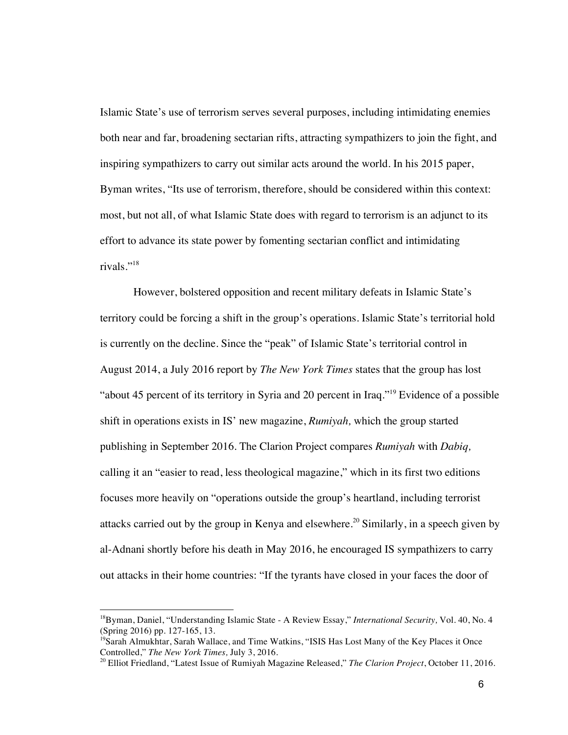Islamic State's use of terrorism serves several purposes, including intimidating enemies both near and far, broadening sectarian rifts, attracting sympathizers to join the fight, and inspiring sympathizers to carry out similar acts around the world. In his 2015 paper, Byman writes, "Its use of terrorism, therefore, should be considered within this context: most, but not all, of what Islamic State does with regard to terrorism is an adjunct to its effort to advance its state power by fomenting sectarian conflict and intimidating rivals."<sup>18</sup>

However, bolstered opposition and recent military defeats in Islamic State's territory could be forcing a shift in the group's operations. Islamic State's territorial hold is currently on the decline. Since the "peak" of Islamic State's territorial control in August 2014, a July 2016 report by *The New York Times* states that the group has lost "about 45 percent of its territory in Syria and 20 percent in Iraq."<sup>19</sup> Evidence of a possible shift in operations exists in IS' new magazine, *Rumiyah,* which the group started publishing in September 2016. The Clarion Project compares *Rumiyah* with *Dabiq,*  calling it an "easier to read, less theological magazine," which in its first two editions focuses more heavily on "operations outside the group's heartland, including terrorist attacks carried out by the group in Kenya and elsewhere.<sup>20</sup> Similarly, in a speech given by al-Adnani shortly before his death in May 2016, he encouraged IS sympathizers to carry out attacks in their home countries: "If the tyrants have closed in your faces the door of

<sup>18</sup>Byman, Daniel, "Understanding Islamic State - A Review Essay," *International Security,* Vol. 40, No. 4 (Spring 2016) pp. 127-165, 13.

<sup>&</sup>lt;sup>19</sup>Sarah Almukhtar, Sarah Wallace, and Time Watkins, "ISIS Has Lost Many of the Key Places it Once Controlled," *The New York Times,* July 3, 2016.

<sup>20</sup> Elliot Friedland, "Latest Issue of Rumiyah Magazine Released," *The Clarion Project*, October 11, 2016.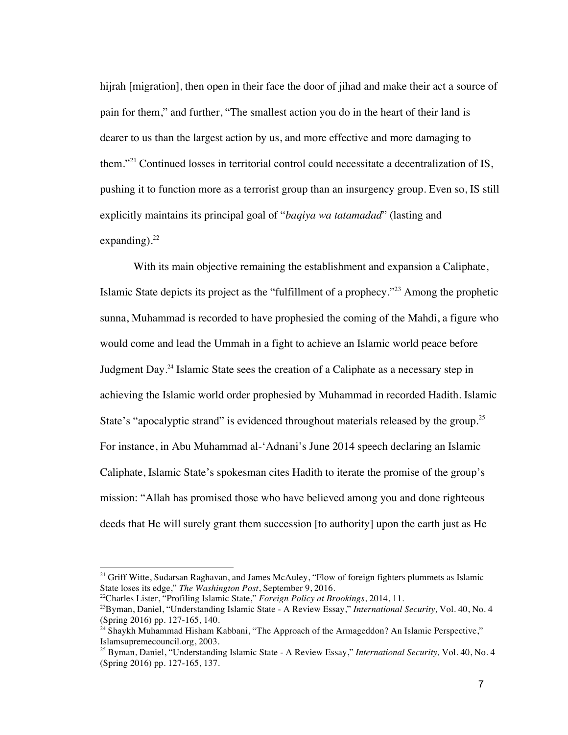hijrah [migration], then open in their face the door of jihad and make their act a source of pain for them," and further, "The smallest action you do in the heart of their land is dearer to us than the largest action by us, and more effective and more damaging to them."<sup>21</sup> Continued losses in territorial control could necessitate a decentralization of IS, pushing it to function more as a terrorist group than an insurgency group. Even so, IS still explicitly maintains its principal goal of "*baqiya wa tatamadad*" (lasting and expanding). $^{22}$ 

With its main objective remaining the establishment and expansion a Caliphate, Islamic State depicts its project as the "fulfillment of a prophecy."23 Among the prophetic sunna, Muhammad is recorded to have prophesied the coming of the Mahdi, a figure who would come and lead the Ummah in a fight to achieve an Islamic world peace before Judgment Day.24 Islamic State sees the creation of a Caliphate as a necessary step in achieving the Islamic world order prophesied by Muhammad in recorded Hadith. Islamic State's "apocalyptic strand" is evidenced throughout materials released by the group.<sup>25</sup> For instance, in Abu Muhammad al-'Adnani's June 2014 speech declaring an Islamic Caliphate, Islamic State's spokesman cites Hadith to iterate the promise of the group's mission: "Allah has promised those who have believed among you and done righteous deeds that He will surely grant them succession [to authority] upon the earth just as He

<sup>&</sup>lt;sup>21</sup> Griff Witte, Sudarsan Raghavan, and James McAuley, "Flow of foreign fighters plummets as Islamic State loses its edge," *The Washington Post*, September 9, 2016.

<sup>22</sup>Charles Lister, "Profiling Islamic State," *Foreign Policy at Brookings*, 2014, 11.

<sup>23</sup>Byman, Daniel, "Understanding Islamic State - A Review Essay," *International Security,* Vol. 40, No. 4 (Spring 2016) pp. 127-165, 140.

 $^{24}$  Shaykh Muhammad Hisham Kabbani, "The Approach of the Armageddon? An Islamic Perspective," Islamsupremecouncil.org, 2003.

<sup>25</sup> Byman, Daniel, "Understanding Islamic State - A Review Essay," *International Security,* Vol. 40, No. 4 (Spring 2016) pp. 127-165, 137.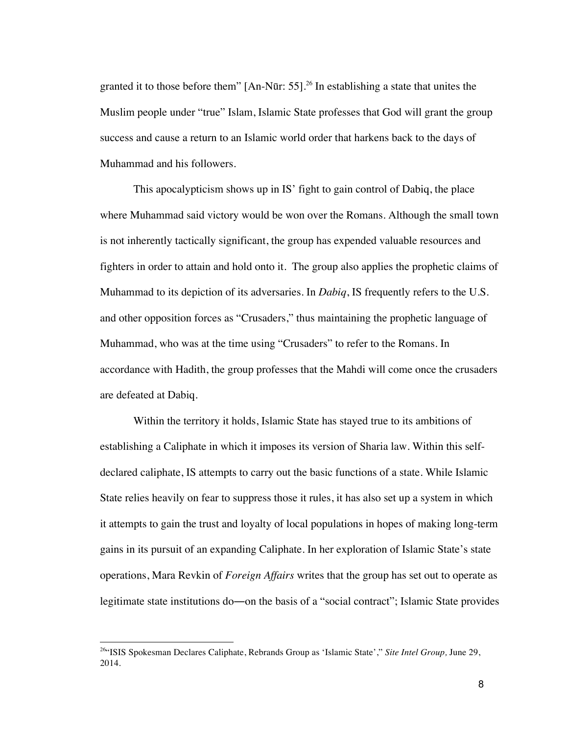granted it to those before them"  $[An-N\bar{u}r: 55]$ <sup>26</sup> In establishing a state that unites the Muslim people under "true" Islam, Islamic State professes that God will grant the group success and cause a return to an Islamic world order that harkens back to the days of Muhammad and his followers.

This apocalypticism shows up in IS' fight to gain control of Dabiq, the place where Muhammad said victory would be won over the Romans. Although the small town is not inherently tactically significant, the group has expended valuable resources and fighters in order to attain and hold onto it. The group also applies the prophetic claims of Muhammad to its depiction of its adversaries. In *Dabiq*, IS frequently refers to the U.S. and other opposition forces as "Crusaders," thus maintaining the prophetic language of Muhammad, who was at the time using "Crusaders" to refer to the Romans. In accordance with Hadith, the group professes that the Mahdi will come once the crusaders are defeated at Dabiq.

Within the territory it holds, Islamic State has stayed true to its ambitions of establishing a Caliphate in which it imposes its version of Sharia law. Within this selfdeclared caliphate, IS attempts to carry out the basic functions of a state. While Islamic State relies heavily on fear to suppress those it rules, it has also set up a system in which it attempts to gain the trust and loyalty of local populations in hopes of making long-term gains in its pursuit of an expanding Caliphate. In her exploration of Islamic State's state operations, Mara Revkin of *Foreign Affairs* writes that the group has set out to operate as legitimate state institutions do―on the basis of a "social contract"; Islamic State provides

<sup>26&</sup>quot;ISIS Spokesman Declares Caliphate, Rebrands Group as 'Islamic State'," *Site Intel Group,* June 29, 2014.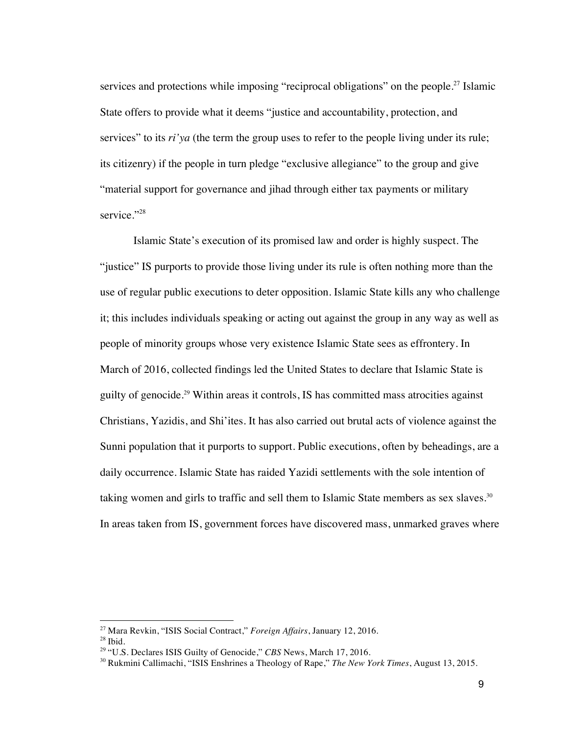services and protections while imposing "reciprocal obligations" on the people.<sup>27</sup> Islamic State offers to provide what it deems "justice and accountability, protection, and services" to its *ri*'ya (the term the group uses to refer to the people living under its rule; its citizenry) if the people in turn pledge "exclusive allegiance" to the group and give "material support for governance and jihad through either tax payments or military service."<sup>28</sup>

Islamic State's execution of its promised law and order is highly suspect. The "justice" IS purports to provide those living under its rule is often nothing more than the use of regular public executions to deter opposition. Islamic State kills any who challenge it; this includes individuals speaking or acting out against the group in any way as well as people of minority groups whose very existence Islamic State sees as effrontery. In March of 2016, collected findings led the United States to declare that Islamic State is guilty of genocide.29 Within areas it controls, IS has committed mass atrocities against Christians, Yazidis, and Shi'ites. It has also carried out brutal acts of violence against the Sunni population that it purports to support. Public executions, often by beheadings, are a daily occurrence. Islamic State has raided Yazidi settlements with the sole intention of taking women and girls to traffic and sell them to Islamic State members as sex slaves.<sup>30</sup> In areas taken from IS, government forces have discovered mass, unmarked graves where

 $\overline{a}$ 

<sup>27</sup> Mara Revkin, "ISIS Social Contract," *Foreign Affairs*, January 12, 2016.

 $28$  Ibid.

<sup>29</sup> "U.S. Declares ISIS Guilty of Genocide," *CBS* News, March 17, 2016.

<sup>30</sup> Rukmini Callimachi, "ISIS Enshrines a Theology of Rape," *The New York Times*, August 13, 2015.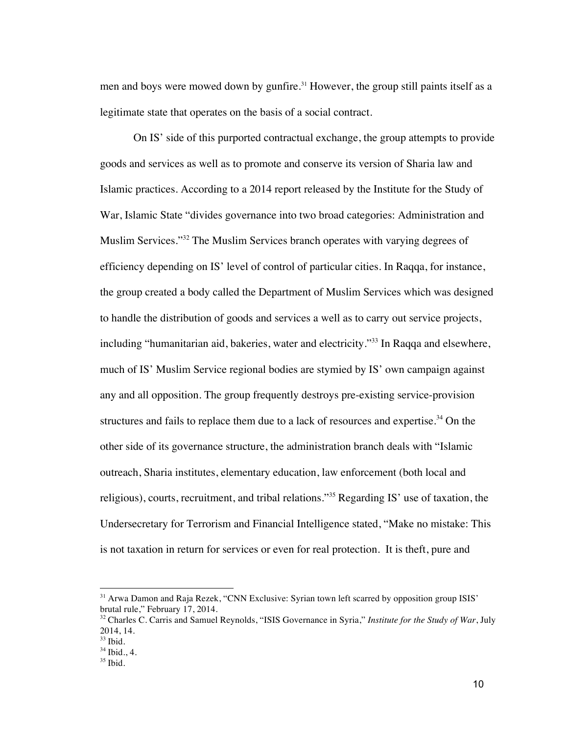men and boys were mowed down by gunfire.<sup>31</sup> However, the group still paints itself as a legitimate state that operates on the basis of a social contract.

On IS' side of this purported contractual exchange, the group attempts to provide goods and services as well as to promote and conserve its version of Sharia law and Islamic practices. According to a 2014 report released by the Institute for the Study of War, Islamic State "divides governance into two broad categories: Administration and Muslim Services."32 The Muslim Services branch operates with varying degrees of efficiency depending on IS' level of control of particular cities. In Raqqa, for instance, the group created a body called the Department of Muslim Services which was designed to handle the distribution of goods and services a well as to carry out service projects, including "humanitarian aid, bakeries, water and electricity."<sup>33</sup> In Raqqa and elsewhere, much of IS' Muslim Service regional bodies are stymied by IS' own campaign against any and all opposition. The group frequently destroys pre-existing service-provision structures and fails to replace them due to a lack of resources and expertise.<sup>34</sup> On the other side of its governance structure, the administration branch deals with "Islamic outreach, Sharia institutes, elementary education, law enforcement (both local and religious), courts, recruitment, and tribal relations."<sup>35</sup> Regarding IS' use of taxation, the Undersecretary for Terrorism and Financial Intelligence stated, "Make no mistake: This is not taxation in return for services or even for real protection. It is theft, pure and

<sup>&</sup>lt;sup>31</sup> Arwa Damon and Raja Rezek, "CNN Exclusive: Syrian town left scarred by opposition group ISIS" brutal rule," February 17, 2014.

<sup>32</sup> Charles C. Carris and Samuel Reynolds, "ISIS Governance in Syria," *Institute for the Study of War*, July 2014, 14.

 $33$  Ibid.

 $34$  Ibid., 4.

 $35$  Ibid.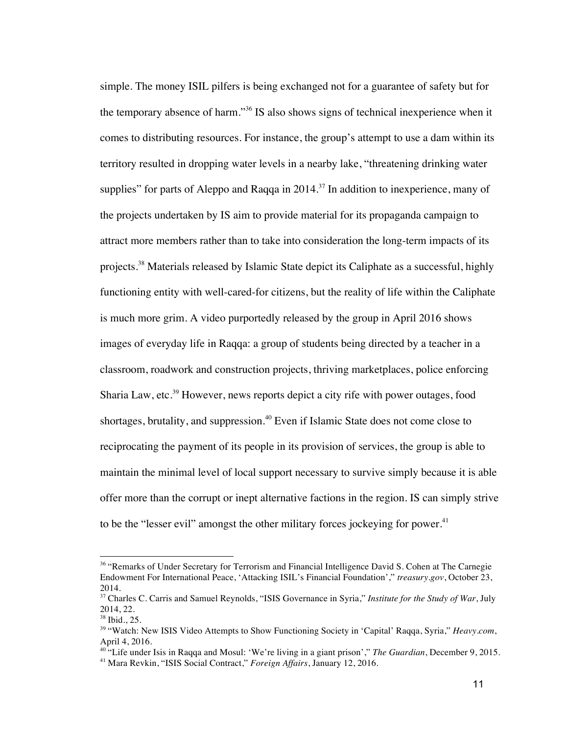simple. The money ISIL pilfers is being exchanged not for a guarantee of safety but for the temporary absence of harm."<sup>36</sup> IS also shows signs of technical inexperience when it comes to distributing resources. For instance, the group's attempt to use a dam within its territory resulted in dropping water levels in a nearby lake, "threatening drinking water supplies" for parts of Aleppo and Raqqa in  $2014$ .<sup>37</sup> In addition to inexperience, many of the projects undertaken by IS aim to provide material for its propaganda campaign to attract more members rather than to take into consideration the long-term impacts of its projects.<sup>38</sup> Materials released by Islamic State depict its Caliphate as a successful, highly functioning entity with well-cared-for citizens, but the reality of life within the Caliphate is much more grim. A video purportedly released by the group in April 2016 shows images of everyday life in Raqqa: a group of students being directed by a teacher in a classroom, roadwork and construction projects, thriving marketplaces, police enforcing Sharia Law, etc.<sup>39</sup> However, news reports depict a city rife with power outages, food shortages, brutality, and suppression.<sup>40</sup> Even if Islamic State does not come close to reciprocating the payment of its people in its provision of services, the group is able to maintain the minimal level of local support necessary to survive simply because it is able offer more than the corrupt or inept alternative factions in the region. IS can simply strive to be the "lesser evil" amongst the other military forces jockeying for power.<sup>41</sup>

 $\overline{a}$ 

<sup>&</sup>lt;sup>36</sup> "Remarks of Under Secretary for Terrorism and Financial Intelligence David S. Cohen at The Carnegie Endowment For International Peace, 'Attacking ISIL's Financial Foundation'," *treasury.gov*, October 23, 2014.

<sup>37</sup> Charles C. Carris and Samuel Reynolds, "ISIS Governance in Syria," *Institute for the Study of War*, July 2014, 22.

<sup>38</sup> Ibid., 25.

<sup>39</sup> "Watch: New ISIS Video Attempts to Show Functioning Society in 'Capital' Raqqa, Syria," *Heavy.com*, April 4, 2016.

<sup>40</sup> "Life under Isis in Raqqa and Mosul: 'We're living in a giant prison'," *The Guardian*, December 9, 2015. <sup>41</sup> Mara Revkin, "ISIS Social Contract," *Foreign Affairs*, January 12, 2016.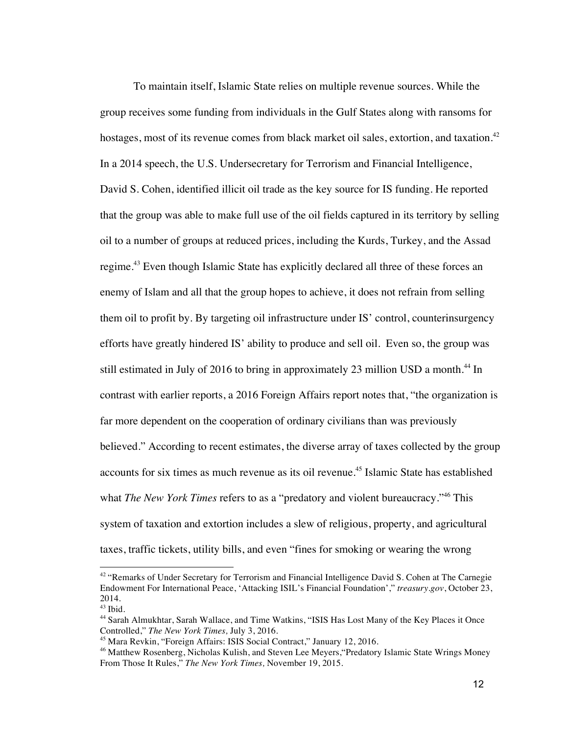To maintain itself, Islamic State relies on multiple revenue sources. While the group receives some funding from individuals in the Gulf States along with ransoms for hostages, most of its revenue comes from black market oil sales, extortion, and taxation.<sup>42</sup> In a 2014 speech, the U.S. Undersecretary for Terrorism and Financial Intelligence, David S. Cohen, identified illicit oil trade as the key source for IS funding. He reported that the group was able to make full use of the oil fields captured in its territory by selling oil to a number of groups at reduced prices, including the Kurds, Turkey, and the Assad regime.43 Even though Islamic State has explicitly declared all three of these forces an enemy of Islam and all that the group hopes to achieve, it does not refrain from selling them oil to profit by. By targeting oil infrastructure under IS' control, counterinsurgency efforts have greatly hindered IS' ability to produce and sell oil. Even so, the group was still estimated in July of 2016 to bring in approximately 23 million USD a month.<sup>44</sup> In contrast with earlier reports, a 2016 Foreign Affairs report notes that, "the organization is far more dependent on the cooperation of ordinary civilians than was previously believed." According to recent estimates, the diverse array of taxes collected by the group accounts for six times as much revenue as its oil revenue.45 Islamic State has established what *The New York Times* refers to as a "predatory and violent bureaucracy."<sup>46</sup> This system of taxation and extortion includes a slew of religious, property, and agricultural taxes, traffic tickets, utility bills, and even "fines for smoking or wearing the wrong

<sup>&</sup>lt;sup>42</sup> "Remarks of Under Secretary for Terrorism and Financial Intelligence David S. Cohen at The Carnegie Endowment For International Peace, 'Attacking ISIL's Financial Foundation'," *treasury.gov*, October 23, 2014.

 $43$  Ibid.

<sup>44</sup> Sarah Almukhtar, Sarah Wallace, and Time Watkins, "ISIS Has Lost Many of the Key Places it Once Controlled," *The New York Times,* July 3, 2016.

<sup>45</sup> Mara Revkin, "Foreign Affairs: ISIS Social Contract," January 12, 2016.

<sup>&</sup>lt;sup>46</sup> Matthew Rosenberg, Nicholas Kulish, and Steven Lee Meyers, "Predatory Islamic State Wrings Money From Those It Rules," *The New York Times,* November 19, 2015.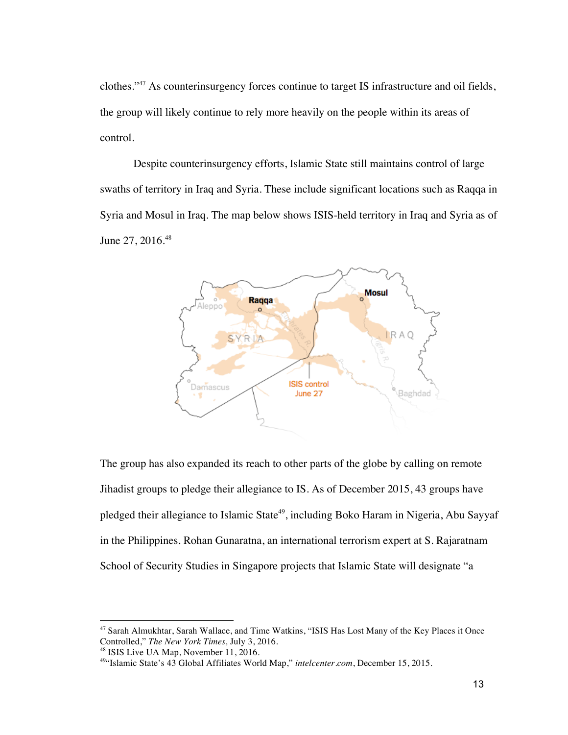clothes."47 As counterinsurgency forces continue to target IS infrastructure and oil fields, the group will likely continue to rely more heavily on the people within its areas of control.

Despite counterinsurgency efforts, Islamic State still maintains control of large swaths of territory in Iraq and Syria. These include significant locations such as Raqqa in Syria and Mosul in Iraq. The map below shows ISIS-held territory in Iraq and Syria as of June 27, 2016.<sup>48</sup>



The group has also expanded its reach to other parts of the globe by calling on remote Jihadist groups to pledge their allegiance to IS. As of December 2015, 43 groups have pledged their allegiance to Islamic State<sup>49</sup>, including Boko Haram in Nigeria, Abu Sayyaf in the Philippines. Rohan Gunaratna, an international terrorism expert at S. Rajaratnam School of Security Studies in Singapore projects that Islamic State will designate "a

 $\overline{a}$ 

<sup>&</sup>lt;sup>47</sup> Sarah Almukhtar, Sarah Wallace, and Time Watkins, "ISIS Has Lost Many of the Key Places it Once Controlled," *The New York Times,* July 3, 2016.

<sup>&</sup>lt;sup>49"</sup>Islamic State's 43 Global Affiliates World Map," *intelcenter.com*, December 15, 2015.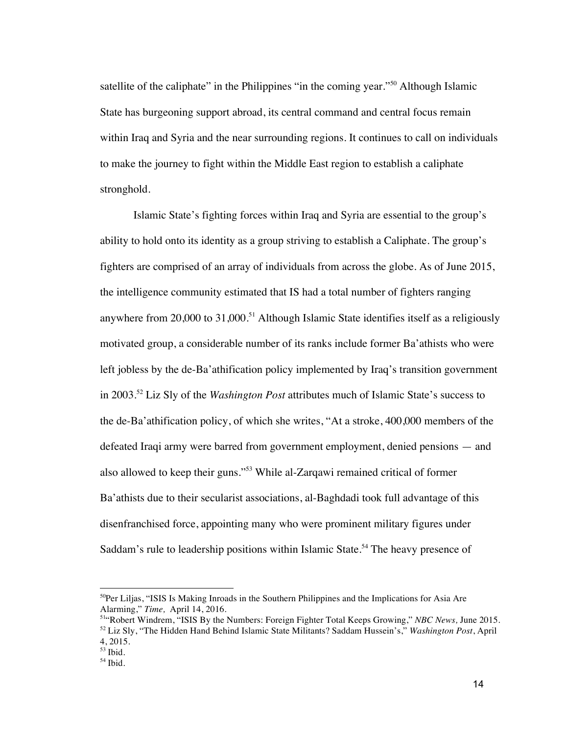satellite of the caliphate" in the Philippines "in the coming year."<sup>50</sup> Although Islamic State has burgeoning support abroad, its central command and central focus remain within Iraq and Syria and the near surrounding regions. It continues to call on individuals to make the journey to fight within the Middle East region to establish a caliphate stronghold.

Islamic State's fighting forces within Iraq and Syria are essential to the group's ability to hold onto its identity as a group striving to establish a Caliphate. The group's fighters are comprised of an array of individuals from across the globe. As of June 2015, the intelligence community estimated that IS had a total number of fighters ranging anywhere from  $20,000$  to  $31,000$ .<sup>51</sup> Although Islamic State identifies itself as a religiously motivated group, a considerable number of its ranks include former Ba'athists who were left jobless by the de-Ba'athification policy implemented by Iraq's transition government in 2003.<sup>52</sup> Liz Sly of the *Washington Post* attributes much of Islamic State's success to the de-Ba'athification policy, of which she writes, "At a stroke, 400,000 members of the defeated Iraqi army were barred from government employment, denied pensions — and also allowed to keep their guns."53 While al-Zarqawi remained critical of former Ba'athists due to their secularist associations, al-Baghdadi took full advantage of this disenfranchised force, appointing many who were prominent military figures under Saddam's rule to leadership positions within Islamic State.<sup>54</sup> The heavy presence of

<sup>&</sup>lt;sup>50</sup>Per Liljas, "ISIS Is Making Inroads in the Southern Philippines and the Implications for Asia Are Alarming," *Time*, April 14, 2016.

<sup>&</sup>lt;sup>514</sup> Robert Windrem, "ISIS By the Numbers: Foreign Fighter Total Keeps Growing," *NBC News*, June 2015. <sup>52</sup> Liz Sly, "The Hidden Hand Behind Islamic State Militants? Saddam Hussein's," *Washington Post*, April 4, 2015.

 $53$  Ibid.

<sup>54</sup> Ibid.

<sup>14</sup>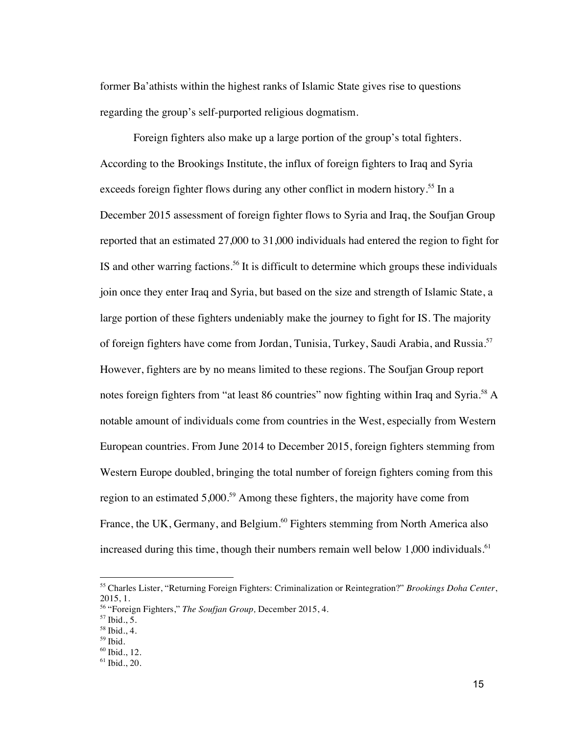former Ba'athists within the highest ranks of Islamic State gives rise to questions regarding the group's self-purported religious dogmatism.

Foreign fighters also make up a large portion of the group's total fighters. According to the Brookings Institute, the influx of foreign fighters to Iraq and Syria exceeds foreign fighter flows during any other conflict in modern history.<sup>55</sup> In a December 2015 assessment of foreign fighter flows to Syria and Iraq, the Soufjan Group reported that an estimated 27,000 to 31,000 individuals had entered the region to fight for IS and other warring factions.<sup>56</sup> It is difficult to determine which groups these individuals join once they enter Iraq and Syria, but based on the size and strength of Islamic State, a large portion of these fighters undeniably make the journey to fight for IS. The majority of foreign fighters have come from Jordan, Tunisia, Turkey, Saudi Arabia, and Russia.<sup>57</sup> However, fighters are by no means limited to these regions. The Soufjan Group report notes foreign fighters from "at least 86 countries" now fighting within Iraq and Syria.<sup>58</sup> A notable amount of individuals come from countries in the West, especially from Western European countries. From June 2014 to December 2015, foreign fighters stemming from Western Europe doubled, bringing the total number of foreign fighters coming from this region to an estimated 5,000.<sup>59</sup> Among these fighters, the majority have come from France, the UK, Germany, and Belgium.<sup>60</sup> Fighters stemming from North America also increased during this time, though their numbers remain well below 1,000 individuals.<sup>61</sup>

<sup>55</sup> Charles Lister, "Returning Foreign Fighters: Criminalization or Reintegration?" *Brookings Doha Center*, 2015, 1.

<sup>56</sup> "Foreign Fighters," *The Soufjan Group,* December 2015, 4.

 $57$  Ibid., 5.

 $58$  Ibid., 4.

 $59$  Ibid.

<sup>60</sup> Ibid., 12.

 $61$  Ibid., 20.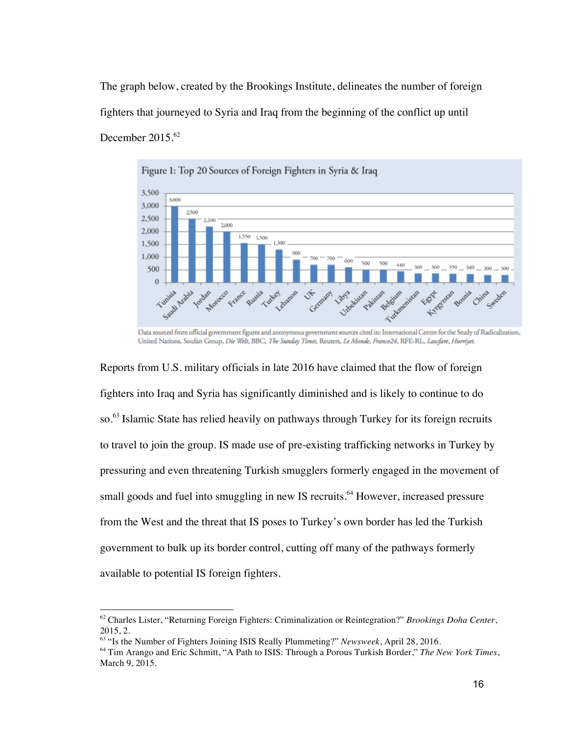The graph below, created by the Brookings Institute, delineates the number of foreign fighters that journeyed to Syria and Iraq from the beginning of the conflict up until December  $2015<sup>62</sup>$ 



Data sourced from official government figures and anonymous government sources cited in: International Centre for the Study of Radicalization, United Nations, Soufan Group, Die Welt, BBC, The Sunday Times, Reuters, Le Monde, France24, RFE-RL, Lawfare, Hurriyet.

Reports from U.S. military officials in late 2016 have claimed that the flow of foreign fighters into Iraq and Syria has significantly diminished and is likely to continue to do so.<sup>63</sup> Islamic State has relied heavily on pathways through Turkey for its foreign recruits to travel to join the group. IS made use of pre-existing trafficking networks in Turkey by pressuring and even threatening Turkish smugglers formerly engaged in the movement of small goods and fuel into smuggling in new IS recruits.<sup>64</sup> However, increased pressure from the West and the threat that IS poses to Turkey's own border has led the Turkish government to bulk up its border control, cutting off many of the pathways formerly available to potential IS foreign fighters.

<sup>62</sup> Charles Lister, "Returning Foreign Fighters: Criminalization or Reintegration?" *Brookings Doha Center*, 2015, 2.

<sup>63</sup> "Is the Number of Fighters Joining ISIS Really Plummeting?" *Newsweek*, April 28, 2016.

<sup>64</sup> Tim Arango and Eric Schmitt, "A Path to ISIS: Through a Porous Turkish Border," *The New York Times*, March 9, 2015.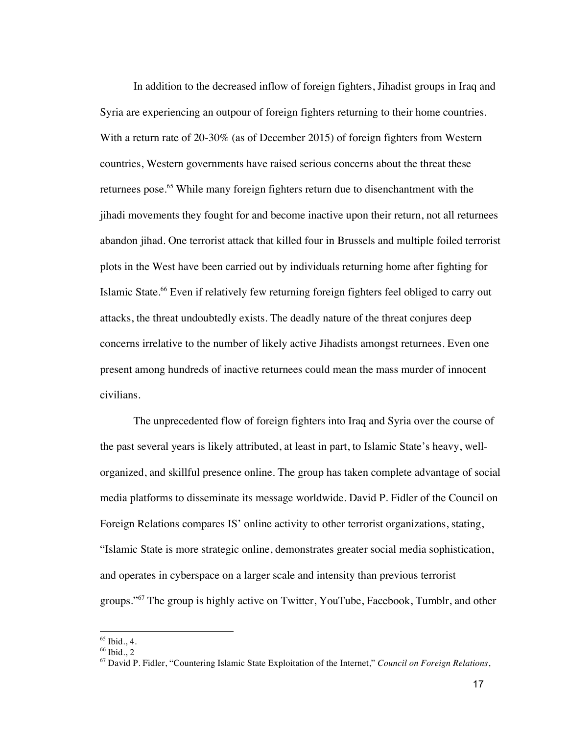In addition to the decreased inflow of foreign fighters, Jihadist groups in Iraq and Syria are experiencing an outpour of foreign fighters returning to their home countries. With a return rate of 20-30% (as of December 2015) of foreign fighters from Western countries, Western governments have raised serious concerns about the threat these returnees pose.<sup>65</sup> While many foreign fighters return due to disenchantment with the jihadi movements they fought for and become inactive upon their return, not all returnees abandon jihad. One terrorist attack that killed four in Brussels and multiple foiled terrorist plots in the West have been carried out by individuals returning home after fighting for Islamic State.<sup>66</sup> Even if relatively few returning foreign fighters feel obliged to carry out attacks, the threat undoubtedly exists. The deadly nature of the threat conjures deep concerns irrelative to the number of likely active Jihadists amongst returnees. Even one present among hundreds of inactive returnees could mean the mass murder of innocent civilians.

The unprecedented flow of foreign fighters into Iraq and Syria over the course of the past several years is likely attributed, at least in part, to Islamic State's heavy, wellorganized, and skillful presence online. The group has taken complete advantage of social media platforms to disseminate its message worldwide. David P. Fidler of the Council on Foreign Relations compares IS' online activity to other terrorist organizations, stating, "Islamic State is more strategic online, demonstrates greater social media sophistication, and operates in cyberspace on a larger scale and intensity than previous terrorist groups."<sup>67</sup> The group is highly active on Twitter, YouTube, Facebook, Tumblr, and other

 $65$  Ibid., 4.

 $66$  Ibid., 2

<sup>67</sup> David P. Fidler, "Countering Islamic State Exploitation of the Internet," *Council on Foreign Relations*,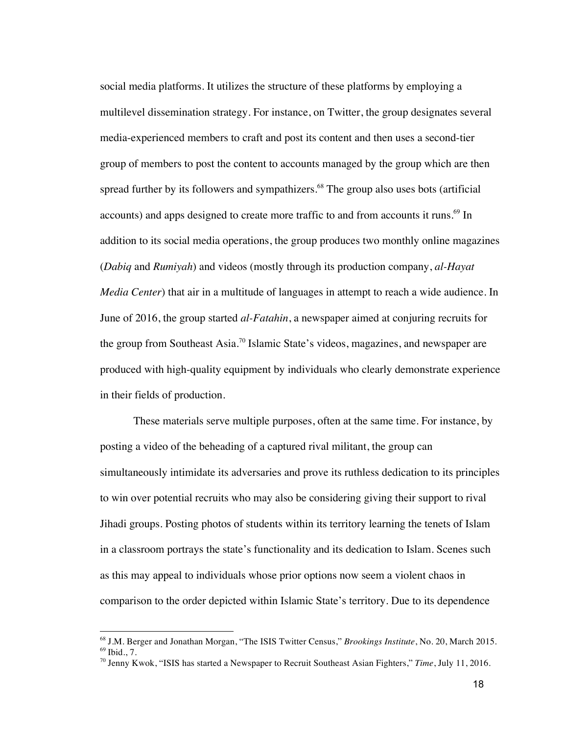social media platforms. It utilizes the structure of these platforms by employing a multilevel dissemination strategy. For instance, on Twitter, the group designates several media-experienced members to craft and post its content and then uses a second-tier group of members to post the content to accounts managed by the group which are then spread further by its followers and sympathizers. $68$  The group also uses bots (artificial accounts) and apps designed to create more traffic to and from accounts it runs.<sup>69</sup> In addition to its social media operations, the group produces two monthly online magazines (*Dabiq* and *Rumiyah*) and videos (mostly through its production company, *al-Hayat Media Center*) that air in a multitude of languages in attempt to reach a wide audience. In June of 2016, the group started *al-Fatahin*, a newspaper aimed at conjuring recruits for the group from Southeast Asia.<sup>70</sup> Islamic State's videos, magazines, and newspaper are produced with high-quality equipment by individuals who clearly demonstrate experience in their fields of production.

These materials serve multiple purposes, often at the same time. For instance, by posting a video of the beheading of a captured rival militant, the group can simultaneously intimidate its adversaries and prove its ruthless dedication to its principles to win over potential recruits who may also be considering giving their support to rival Jihadi groups. Posting photos of students within its territory learning the tenets of Islam in a classroom portrays the state's functionality and its dedication to Islam. Scenes such as this may appeal to individuals whose prior options now seem a violent chaos in comparison to the order depicted within Islamic State's territory. Due to its dependence

<sup>&</sup>lt;sup>68</sup> J.M. Berger and Jonathan Morgan, "The ISIS Twitter Census," *Brookings Institute*, No. 20, March 2015. <sup>69</sup> Ibid., 7.

<sup>70</sup> Jenny Kwok, "ISIS has started a Newspaper to Recruit Southeast Asian Fighters," *Time*, July 11, 2016.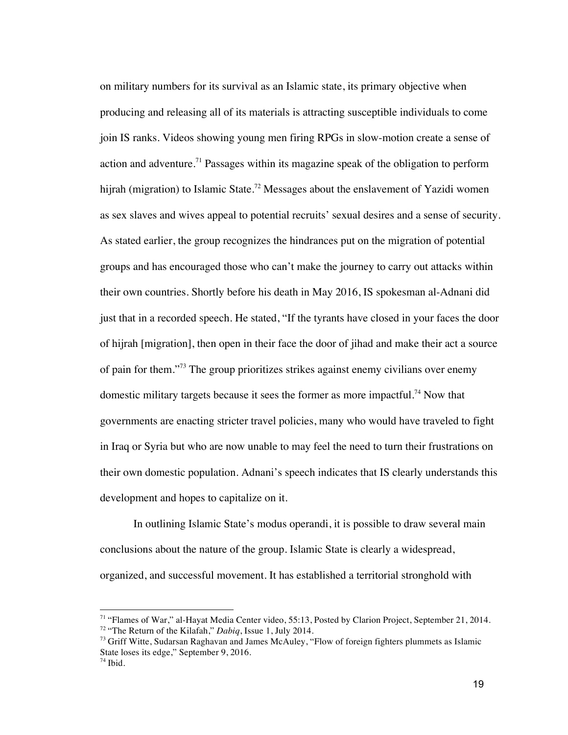on military numbers for its survival as an Islamic state, its primary objective when producing and releasing all of its materials is attracting susceptible individuals to come join IS ranks. Videos showing young men firing RPGs in slow-motion create a sense of action and adventure.<sup>71</sup> Passages within its magazine speak of the obligation to perform hijrah (migration) to Islamic State.<sup>72</sup> Messages about the enslavement of Yazidi women as sex slaves and wives appeal to potential recruits' sexual desires and a sense of security. As stated earlier, the group recognizes the hindrances put on the migration of potential groups and has encouraged those who can't make the journey to carry out attacks within their own countries. Shortly before his death in May 2016, IS spokesman al-Adnani did just that in a recorded speech. He stated, "If the tyrants have closed in your faces the door of hijrah [migration], then open in their face the door of jihad and make their act a source of pain for them."73 The group prioritizes strikes against enemy civilians over enemy domestic military targets because it sees the former as more impactful.<sup>74</sup> Now that governments are enacting stricter travel policies, many who would have traveled to fight in Iraq or Syria but who are now unable to may feel the need to turn their frustrations on their own domestic population. Adnani's speech indicates that IS clearly understands this development and hopes to capitalize on it.

In outlining Islamic State's modus operandi, it is possible to draw several main conclusions about the nature of the group. Islamic State is clearly a widespread, organized, and successful movement. It has established a territorial stronghold with

<sup>71</sup> "Flames of War," al-Hayat Media Center video, 55:13, Posted by Clarion Project, September 21, 2014. <sup>72</sup> "The Return of the Kilafah," *Dabiq*, Issue 1, July 2014.

 $73$  Griff Witte, Sudarsan Raghavan and James McAuley, "Flow of foreign fighters plummets as Islamic State loses its edge," September 9, 2016.

<sup>74</sup> Ibid.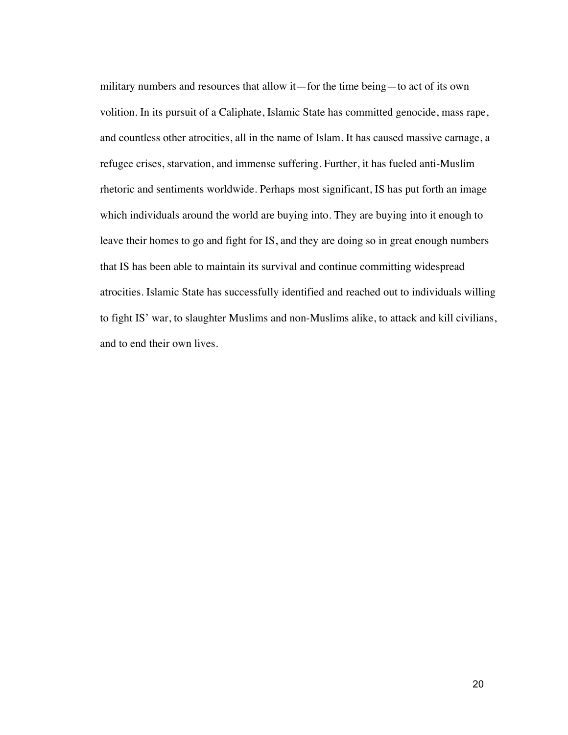military numbers and resources that allow it—for the time being—to act of its own volition. In its pursuit of a Caliphate, Islamic State has committed genocide, mass rape, and countless other atrocities, all in the name of Islam. It has caused massive carnage, a refugee crises, starvation, and immense suffering. Further, it has fueled anti-Muslim rhetoric and sentiments worldwide. Perhaps most significant, IS has put forth an image which individuals around the world are buying into. They are buying into it enough to leave their homes to go and fight for IS, and they are doing so in great enough numbers that IS has been able to maintain its survival and continue committing widespread atrocities. Islamic State has successfully identified and reached out to individuals willing to fight IS' war, to slaughter Muslims and non-Muslims alike, to attack and kill civilians, and to end their own lives.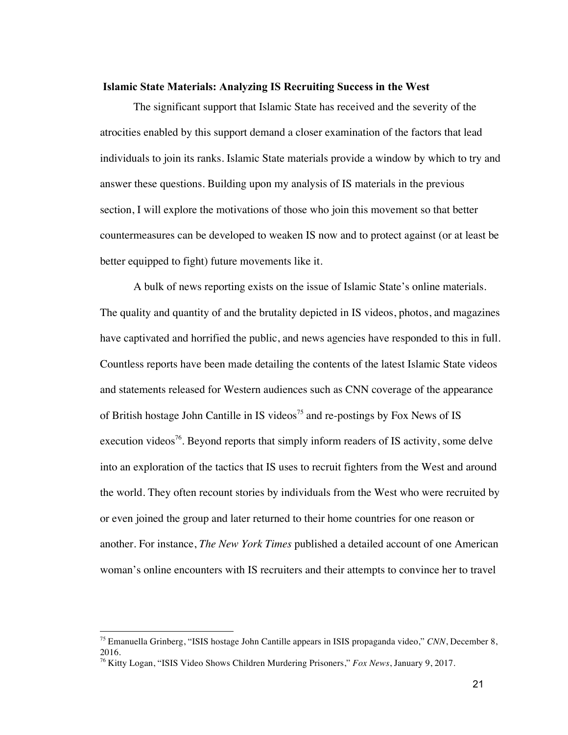#### **Islamic State Materials: Analyzing IS Recruiting Success in the West**

The significant support that Islamic State has received and the severity of the atrocities enabled by this support demand a closer examination of the factors that lead individuals to join its ranks. Islamic State materials provide a window by which to try and answer these questions. Building upon my analysis of IS materials in the previous section, I will explore the motivations of those who join this movement so that better countermeasures can be developed to weaken IS now and to protect against (or at least be better equipped to fight) future movements like it.

A bulk of news reporting exists on the issue of Islamic State's online materials. The quality and quantity of and the brutality depicted in IS videos, photos, and magazines have captivated and horrified the public, and news agencies have responded to this in full. Countless reports have been made detailing the contents of the latest Islamic State videos and statements released for Western audiences such as CNN coverage of the appearance of British hostage John Cantille in IS videos<sup>75</sup> and re-postings by Fox News of IS execution videos<sup>76</sup>. Beyond reports that simply inform readers of IS activity, some delve into an exploration of the tactics that IS uses to recruit fighters from the West and around the world. They often recount stories by individuals from the West who were recruited by or even joined the group and later returned to their home countries for one reason or another. For instance, *The New York Times* published a detailed account of one American woman's online encounters with IS recruiters and their attempts to convince her to travel

<sup>75</sup> Emanuella Grinberg, "ISIS hostage John Cantille appears in ISIS propaganda video," *CNN*, December 8, 2016.

<sup>76</sup> Kitty Logan, "ISIS Video Shows Children Murdering Prisoners," *Fox News*, January 9, 2017.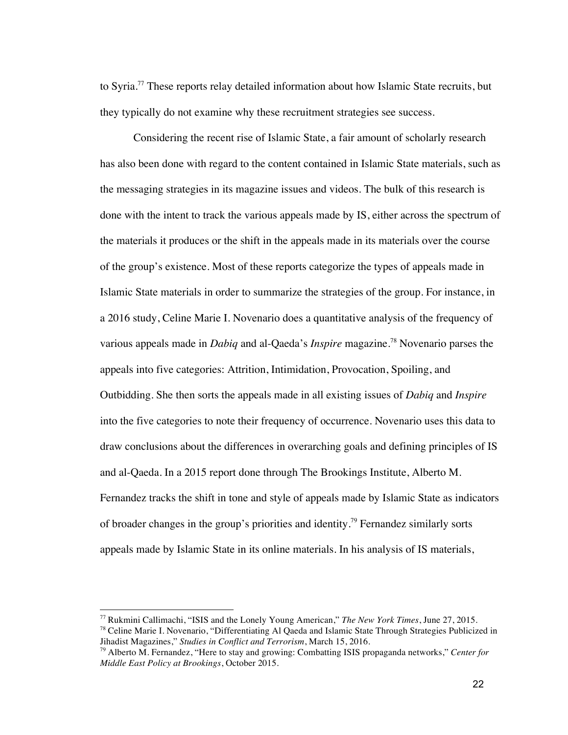to Syria.<sup>77</sup> These reports relay detailed information about how Islamic State recruits, but they typically do not examine why these recruitment strategies see success.

Considering the recent rise of Islamic State, a fair amount of scholarly research has also been done with regard to the content contained in Islamic State materials, such as the messaging strategies in its magazine issues and videos. The bulk of this research is done with the intent to track the various appeals made by IS, either across the spectrum of the materials it produces or the shift in the appeals made in its materials over the course of the group's existence. Most of these reports categorize the types of appeals made in Islamic State materials in order to summarize the strategies of the group. For instance, in a 2016 study, Celine Marie I. Novenario does a quantitative analysis of the frequency of various appeals made in *Dabiq* and al-Qaeda's *Inspire* magazine.<sup>78</sup> Novenario parses the appeals into five categories: Attrition, Intimidation, Provocation, Spoiling, and Outbidding. She then sorts the appeals made in all existing issues of *Dabiq* and *Inspire* into the five categories to note their frequency of occurrence. Novenario uses this data to draw conclusions about the differences in overarching goals and defining principles of IS and al-Qaeda. In a 2015 report done through The Brookings Institute, Alberto M. Fernandez tracks the shift in tone and style of appeals made by Islamic State as indicators of broader changes in the group's priorities and identity.79 Fernandez similarly sorts appeals made by Islamic State in its online materials. In his analysis of IS materials,

<sup>77</sup> Rukmini Callimachi, "ISIS and the Lonely Young American," *The New York Times*, June 27, 2015.

<sup>&</sup>lt;sup>78</sup> Celine Marie I. Novenario, "Differentiating Al Qaeda and Islamic State Through Strategies Publicized in Jihadist Magazines," *Studies in Conflict and Terrorism*, March 15, 2016.

<sup>79</sup> Alberto M. Fernandez, "Here to stay and growing: Combatting ISIS propaganda networks," *Center for Middle East Policy at Brookings*, October 2015.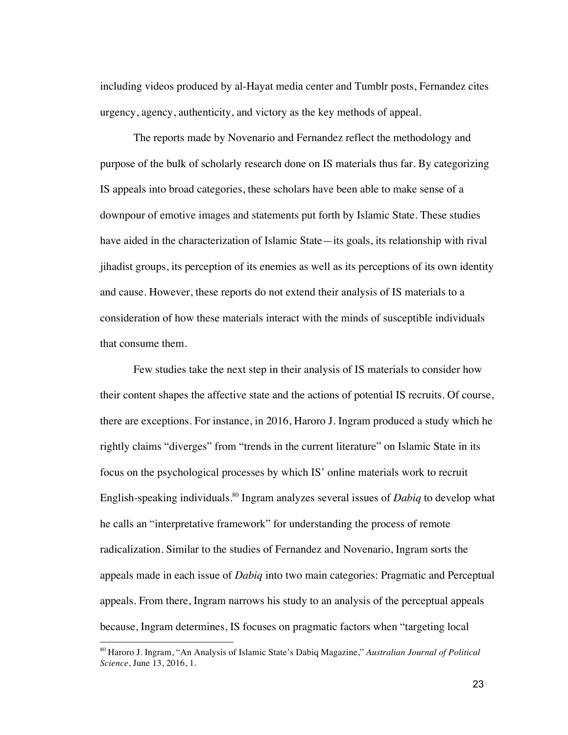including videos produced by al-Hayat media center and Tumblr posts, Fernandez cites urgency, agency, authenticity, and victory as the key methods of appeal.

The reports made by Novenario and Fernandez reflect the methodology and purpose of the bulk of scholarly research done on IS materials thus far. By categorizing IS appeals into broad categories, these scholars have been able to make sense of a downpour of emotive images and statements put forth by Islamic State. These studies have aided in the characterization of Islamic State—its goals, its relationship with rival jihadist groups, its perception of its enemies as well as its perceptions of its own identity and cause. However, these reports do not extend their analysis of IS materials to a consideration of how these materials interact with the minds of susceptible individuals that consume them.

Few studies take the next step in their analysis of IS materials to consider how their content shapes the affective state and the actions of potential IS recruits. Of course, there are exceptions. For instance, in 2016, Haroro J. Ingram produced a study which he rightly claims "diverges" from "trends in the current literature" on Islamic State in its focus on the psychological processes by which IS' online materials work to recruit English-speaking individuals.80 Ingram analyzes several issues of *Dabiq* to develop what he calls an "interpretative framework" for understanding the process of remote radicalization. Similar to the studies of Fernandez and Novenario, Ingram sorts the appeals made in each issue of *Dabiq* into two main categories: Pragmatic and Perceptual appeals. From there, Ingram narrows his study to an analysis of the perceptual appeals because, Ingram determines, IS focuses on pragmatic factors when "targeting local

<sup>80</sup> Haroro J. Ingram, "An Analysis of Islamic State's Dabiq Magazine," *Australian Journal of Political Science*, June 13, 2016, 1.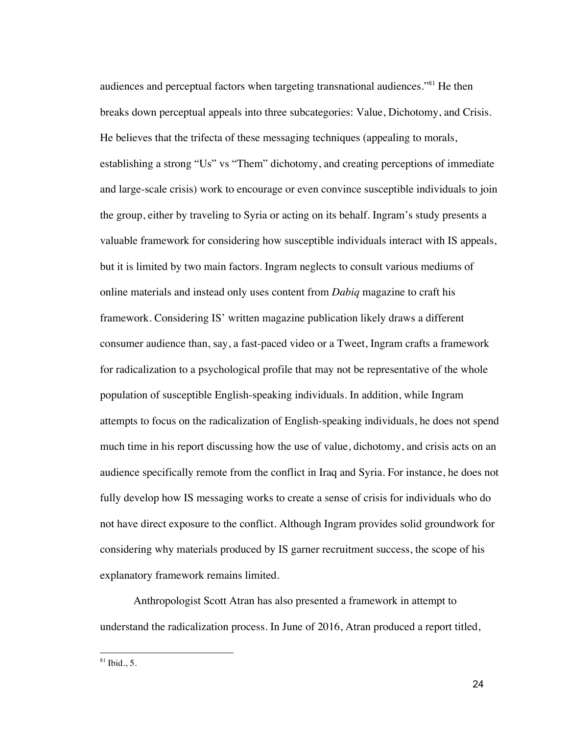audiences and perceptual factors when targeting transnational audiences."<sup>81</sup> He then breaks down perceptual appeals into three subcategories: Value, Dichotomy, and Crisis. He believes that the trifecta of these messaging techniques (appealing to morals, establishing a strong "Us" vs "Them" dichotomy, and creating perceptions of immediate and large-scale crisis) work to encourage or even convince susceptible individuals to join the group, either by traveling to Syria or acting on its behalf. Ingram's study presents a valuable framework for considering how susceptible individuals interact with IS appeals, but it is limited by two main factors. Ingram neglects to consult various mediums of online materials and instead only uses content from *Dabiq* magazine to craft his framework. Considering IS' written magazine publication likely draws a different consumer audience than, say, a fast-paced video or a Tweet, Ingram crafts a framework for radicalization to a psychological profile that may not be representative of the whole population of susceptible English-speaking individuals. In addition, while Ingram attempts to focus on the radicalization of English-speaking individuals, he does not spend much time in his report discussing how the use of value, dichotomy, and crisis acts on an audience specifically remote from the conflict in Iraq and Syria. For instance, he does not fully develop how IS messaging works to create a sense of crisis for individuals who do not have direct exposure to the conflict. Although Ingram provides solid groundwork for considering why materials produced by IS garner recruitment success, the scope of his explanatory framework remains limited.

Anthropologist Scott Atran has also presented a framework in attempt to understand the radicalization process. In June of 2016, Atran produced a report titled,

 $81$  Ibid., 5.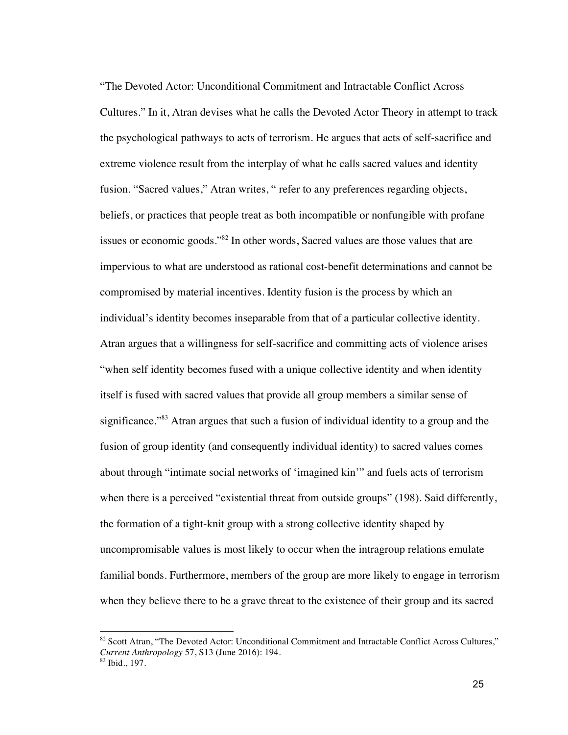"The Devoted Actor: Unconditional Commitment and Intractable Conflict Across Cultures." In it, Atran devises what he calls the Devoted Actor Theory in attempt to track the psychological pathways to acts of terrorism. He argues that acts of self-sacrifice and extreme violence result from the interplay of what he calls sacred values and identity fusion. "Sacred values," Atran writes, " refer to any preferences regarding objects, beliefs, or practices that people treat as both incompatible or nonfungible with profane issues or economic goods."82 In other words, Sacred values are those values that are impervious to what are understood as rational cost-benefit determinations and cannot be compromised by material incentives. Identity fusion is the process by which an individual's identity becomes inseparable from that of a particular collective identity. Atran argues that a willingness for self-sacrifice and committing acts of violence arises "when self identity becomes fused with a unique collective identity and when identity itself is fused with sacred values that provide all group members a similar sense of significance."<sup>83</sup> Atran argues that such a fusion of individual identity to a group and the fusion of group identity (and consequently individual identity) to sacred values comes about through "intimate social networks of 'imagined kin'" and fuels acts of terrorism when there is a perceived "existential threat from outside groups" (198). Said differently, the formation of a tight-knit group with a strong collective identity shaped by uncompromisable values is most likely to occur when the intragroup relations emulate familial bonds. Furthermore, members of the group are more likely to engage in terrorism when they believe there to be a grave threat to the existence of their group and its sacred

<sup>82</sup> Scott Atran, "The Devoted Actor: Unconditional Commitment and Intractable Conflict Across Cultures," *Current Anthropology* 57, S13 (June 2016): 194.  $83$  Ibid., 197.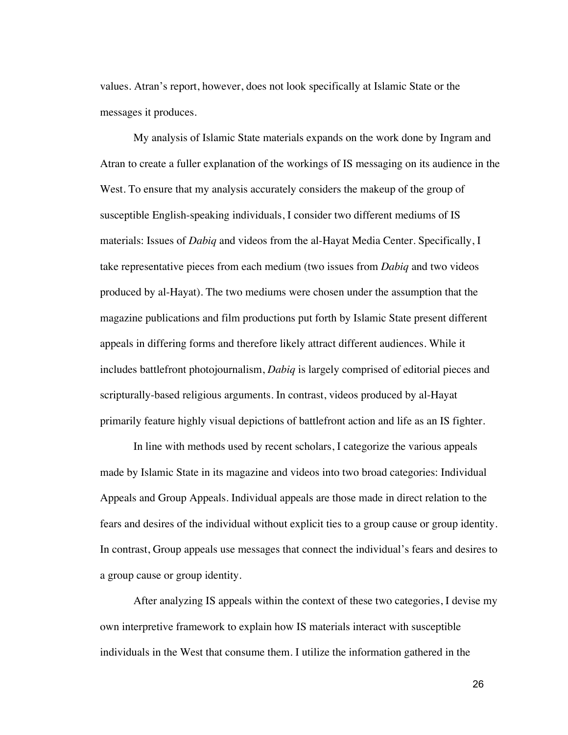values. Atran's report, however, does not look specifically at Islamic State or the messages it produces.

My analysis of Islamic State materials expands on the work done by Ingram and Atran to create a fuller explanation of the workings of IS messaging on its audience in the West. To ensure that my analysis accurately considers the makeup of the group of susceptible English-speaking individuals, I consider two different mediums of IS materials: Issues of *Dabiq* and videos from the al-Hayat Media Center. Specifically, I take representative pieces from each medium (two issues from *Dabiq* and two videos produced by al-Hayat). The two mediums were chosen under the assumption that the magazine publications and film productions put forth by Islamic State present different appeals in differing forms and therefore likely attract different audiences. While it includes battlefront photojournalism, *Dabiq* is largely comprised of editorial pieces and scripturally-based religious arguments. In contrast, videos produced by al-Hayat primarily feature highly visual depictions of battlefront action and life as an IS fighter.

In line with methods used by recent scholars, I categorize the various appeals made by Islamic State in its magazine and videos into two broad categories: Individual Appeals and Group Appeals. Individual appeals are those made in direct relation to the fears and desires of the individual without explicit ties to a group cause or group identity. In contrast, Group appeals use messages that connect the individual's fears and desires to a group cause or group identity.

After analyzing IS appeals within the context of these two categories, I devise my own interpretive framework to explain how IS materials interact with susceptible individuals in the West that consume them. I utilize the information gathered in the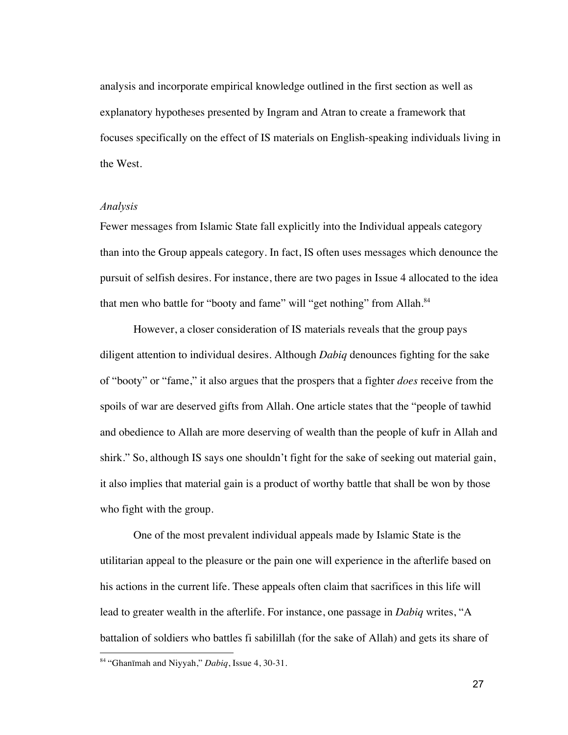analysis and incorporate empirical knowledge outlined in the first section as well as explanatory hypotheses presented by Ingram and Atran to create a framework that focuses specifically on the effect of IS materials on English-speaking individuals living in the West.

#### *Analysis*

Fewer messages from Islamic State fall explicitly into the Individual appeals category than into the Group appeals category. In fact, IS often uses messages which denounce the pursuit of selfish desires. For instance, there are two pages in Issue 4 allocated to the idea that men who battle for "booty and fame" will "get nothing" from Allah.<sup>84</sup>

However, a closer consideration of IS materials reveals that the group pays diligent attention to individual desires. Although *Dabiq* denounces fighting for the sake of "booty" or "fame," it also argues that the prospers that a fighter *does* receive from the spoils of war are deserved gifts from Allah. One article states that the "people of tawhid and obedience to Allah are more deserving of wealth than the people of kufr in Allah and shirk." So, although IS says one shouldn't fight for the sake of seeking out material gain, it also implies that material gain is a product of worthy battle that shall be won by those who fight with the group.

One of the most prevalent individual appeals made by Islamic State is the utilitarian appeal to the pleasure or the pain one will experience in the afterlife based on his actions in the current life. These appeals often claim that sacrifices in this life will lead to greater wealth in the afterlife. For instance, one passage in *Dabiq* writes, "A battalion of soldiers who battles fi sabilillah (for the sake of Allah) and gets its share of

<sup>84</sup> "Ghanīmah and Niyyah," *Dabiq*, Issue 4, 30-31.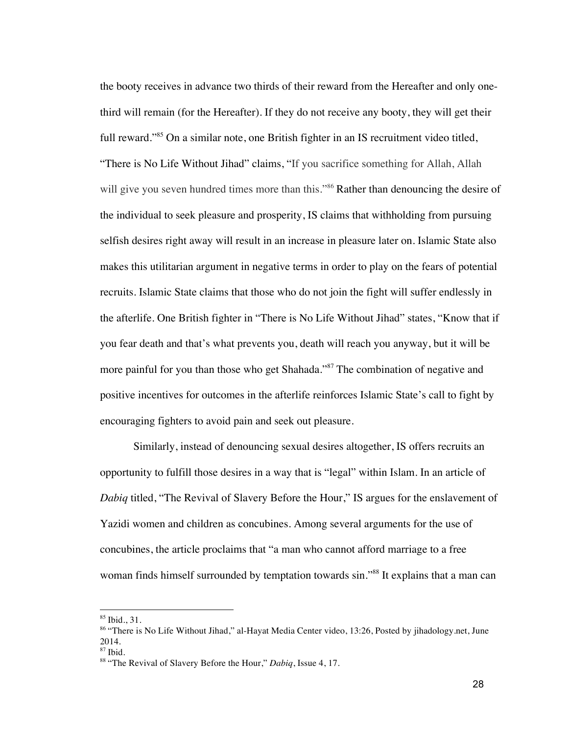the booty receives in advance two thirds of their reward from the Hereafter and only onethird will remain (for the Hereafter). If they do not receive any booty, they will get their full reward."<sup>85</sup> On a similar note, one British fighter in an IS recruitment video titled, "There is No Life Without Jihad" claims, "If you sacrifice something for Allah, Allah will give you seven hundred times more than this."<sup>86</sup> Rather than denouncing the desire of the individual to seek pleasure and prosperity, IS claims that withholding from pursuing selfish desires right away will result in an increase in pleasure later on. Islamic State also makes this utilitarian argument in negative terms in order to play on the fears of potential recruits. Islamic State claims that those who do not join the fight will suffer endlessly in the afterlife. One British fighter in "There is No Life Without Jihad" states, "Know that if you fear death and that's what prevents you, death will reach you anyway, but it will be more painful for you than those who get Shahada."<sup>87</sup> The combination of negative and positive incentives for outcomes in the afterlife reinforces Islamic State's call to fight by encouraging fighters to avoid pain and seek out pleasure.

Similarly, instead of denouncing sexual desires altogether, IS offers recruits an opportunity to fulfill those desires in a way that is "legal" within Islam. In an article of *Dabiq* titled, "The Revival of Slavery Before the Hour," IS argues for the enslavement of Yazidi women and children as concubines. Among several arguments for the use of concubines, the article proclaims that "a man who cannot afford marriage to a free woman finds himself surrounded by temptation towards sin."<sup>88</sup> It explains that a man can

<sup>85</sup> Ibid., 31.

<sup>86 &</sup>quot;There is No Life Without Jihad," al-Hayat Media Center video, 13:26, Posted by jihadology.net, June 2014.

<sup>87</sup> Ibid.

<sup>88</sup> "The Revival of Slavery Before the Hour," *Dabiq*, Issue 4, 17.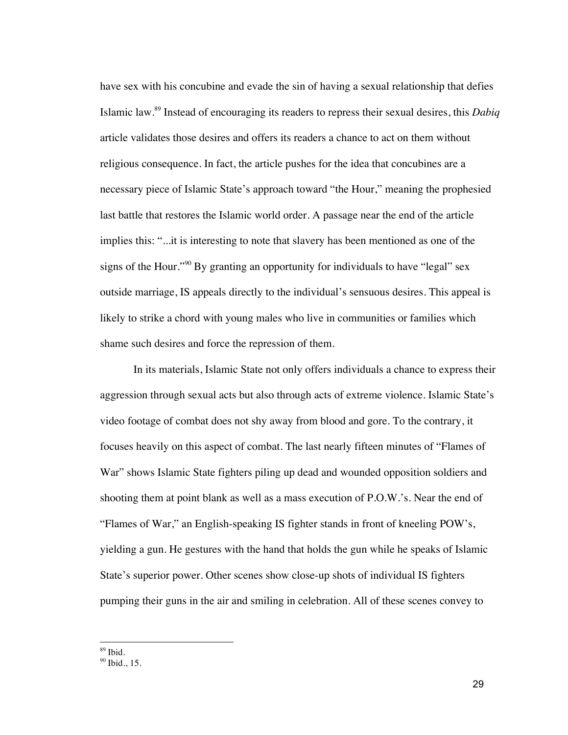have sex with his concubine and evade the sin of having a sexual relationship that defies Islamic law.89 Instead of encouraging its readers to repress their sexual desires, this *Dabiq* article validates those desires and offers its readers a chance to act on them without religious consequence. In fact, the article pushes for the idea that concubines are a necessary piece of Islamic State's approach toward "the Hour," meaning the prophesied last battle that restores the Islamic world order. A passage near the end of the article implies this: "...it is interesting to note that slavery has been mentioned as one of the signs of the Hour."<sup>90</sup> By granting an opportunity for individuals to have "legal" sex outside marriage, IS appeals directly to the individual's sensuous desires. This appeal is likely to strike a chord with young males who live in communities or families which shame such desires and force the repression of them.

In its materials, Islamic State not only offers individuals a chance to express their aggression through sexual acts but also through acts of extreme violence. Islamic State's video footage of combat does not shy away from blood and gore. To the contrary, it focuses heavily on this aspect of combat. The last nearly fifteen minutes of "Flames of War" shows Islamic State fighters piling up dead and wounded opposition soldiers and shooting them at point blank as well as a mass execution of P.O.W.'s. Near the end of "Flames of War," an English-speaking IS fighter stands in front of kneeling POW's, yielding a gun. He gestures with the hand that holds the gun while he speaks of Islamic State's superior power. Other scenes show close-up shots of individual IS fighters pumping their guns in the air and smiling in celebration. All of these scenes convey to

 $89$  Ibid.

 $90$  Ibid., 15.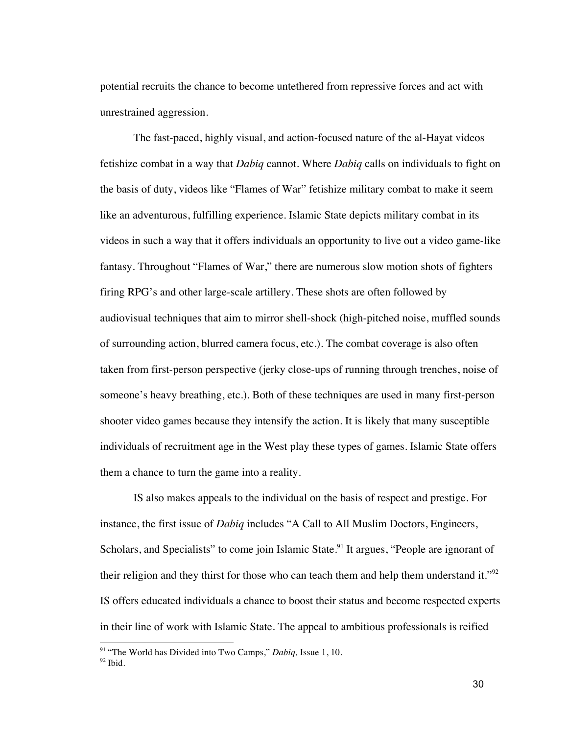potential recruits the chance to become untethered from repressive forces and act with unrestrained aggression.

The fast-paced, highly visual, and action-focused nature of the al-Hayat videos fetishize combat in a way that *Dabiq* cannot. Where *Dabiq* calls on individuals to fight on the basis of duty, videos like "Flames of War" fetishize military combat to make it seem like an adventurous, fulfilling experience. Islamic State depicts military combat in its videos in such a way that it offers individuals an opportunity to live out a video game-like fantasy. Throughout "Flames of War," there are numerous slow motion shots of fighters firing RPG's and other large-scale artillery. These shots are often followed by audiovisual techniques that aim to mirror shell-shock (high-pitched noise, muffled sounds of surrounding action, blurred camera focus, etc.). The combat coverage is also often taken from first-person perspective (jerky close-ups of running through trenches, noise of someone's heavy breathing, etc.). Both of these techniques are used in many first-person shooter video games because they intensify the action. It is likely that many susceptible individuals of recruitment age in the West play these types of games. Islamic State offers them a chance to turn the game into a reality.

IS also makes appeals to the individual on the basis of respect and prestige. For instance, the first issue of *Dabiq* includes "A Call to All Muslim Doctors, Engineers, Scholars, and Specialists" to come join Islamic State.<sup>91</sup> It argues, "People are ignorant of their religion and they thirst for those who can teach them and help them understand it."<sup>92</sup> IS offers educated individuals a chance to boost their status and become respected experts in their line of work with Islamic State. The appeal to ambitious professionals is reified

<sup>91</sup> "The World has Divided into Two Camps," *Dabiq,* Issue 1, 10.  $92$  Ibid.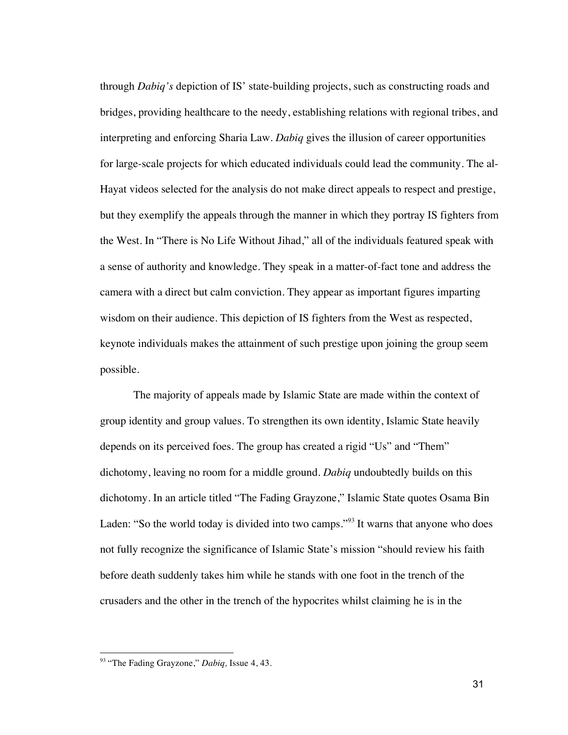through *Dabiq's* depiction of IS' state-building projects, such as constructing roads and bridges, providing healthcare to the needy, establishing relations with regional tribes, and interpreting and enforcing Sharia Law. *Dabiq* gives the illusion of career opportunities for large-scale projects for which educated individuals could lead the community. The al-Hayat videos selected for the analysis do not make direct appeals to respect and prestige, but they exemplify the appeals through the manner in which they portray IS fighters from the West. In "There is No Life Without Jihad," all of the individuals featured speak with a sense of authority and knowledge. They speak in a matter-of-fact tone and address the camera with a direct but calm conviction. They appear as important figures imparting wisdom on their audience. This depiction of IS fighters from the West as respected, keynote individuals makes the attainment of such prestige upon joining the group seem possible.

The majority of appeals made by Islamic State are made within the context of group identity and group values. To strengthen its own identity, Islamic State heavily depends on its perceived foes. The group has created a rigid "Us" and "Them" dichotomy, leaving no room for a middle ground. *Dabiq* undoubtedly builds on this dichotomy. In an article titled "The Fading Grayzone," Islamic State quotes Osama Bin Laden: "So the world today is divided into two camps."<sup>93</sup> It warns that anyone who does not fully recognize the significance of Islamic State's mission "should review his faith before death suddenly takes him while he stands with one foot in the trench of the crusaders and the other in the trench of the hypocrites whilst claiming he is in the

<sup>93</sup> "The Fading Grayzone," *Dabiq,* Issue 4, 43.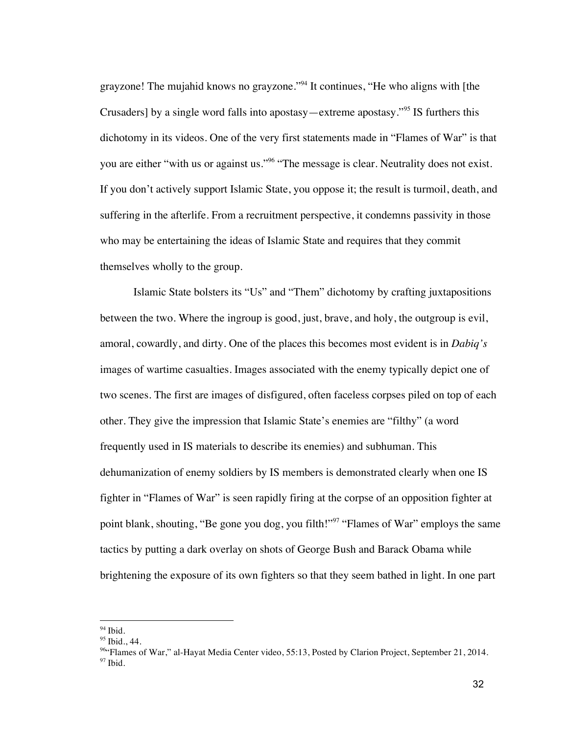grayzone! The mujahid knows no grayzone."<sup>94</sup> It continues, "He who aligns with [the Crusaders] by a single word falls into apostasy—extreme apostasy."<sup>95</sup> IS furthers this dichotomy in its videos. One of the very first statements made in "Flames of War" is that you are either "with us or against us."96 "The message is clear. Neutrality does not exist. If you don't actively support Islamic State, you oppose it; the result is turmoil, death, and suffering in the afterlife. From a recruitment perspective, it condemns passivity in those who may be entertaining the ideas of Islamic State and requires that they commit themselves wholly to the group.

Islamic State bolsters its "Us" and "Them" dichotomy by crafting juxtapositions between the two. Where the ingroup is good, just, brave, and holy, the outgroup is evil, amoral, cowardly, and dirty. One of the places this becomes most evident is in *Dabiq's* images of wartime casualties. Images associated with the enemy typically depict one of two scenes. The first are images of disfigured, often faceless corpses piled on top of each other. They give the impression that Islamic State's enemies are "filthy" (a word frequently used in IS materials to describe its enemies) and subhuman. This dehumanization of enemy soldiers by IS members is demonstrated clearly when one IS fighter in "Flames of War" is seen rapidly firing at the corpse of an opposition fighter at point blank, shouting, "Be gone you dog, you filth!"<sup>97</sup> "Flames of War" employs the same tactics by putting a dark overlay on shots of George Bush and Barack Obama while brightening the exposure of its own fighters so that they seem bathed in light. In one part

 $\overline{a}$ 

 $94$  Ibid.

<sup>&</sup>lt;sup>95</sup> Ibid., 44.

<sup>&</sup>lt;sup>96</sup>"Flames of War," al-Hayat Media Center video, 55:13, Posted by Clarion Project, September 21, 2014.  $97$  Ibid.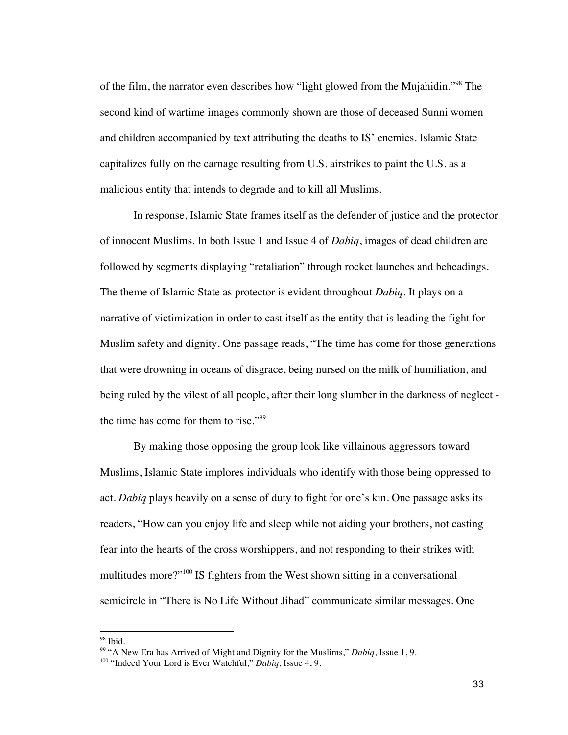of the film, the narrator even describes how "light glowed from the Mujahidin."<sup>98</sup> The second kind of wartime images commonly shown are those of deceased Sunni women and children accompanied by text attributing the deaths to IS' enemies. Islamic State capitalizes fully on the carnage resulting from U.S. airstrikes to paint the U.S. as a malicious entity that intends to degrade and to kill all Muslims.

In response, Islamic State frames itself as the defender of justice and the protector of innocent Muslims. In both Issue 1 and Issue 4 of *Dabiq*, images of dead children are followed by segments displaying "retaliation" through rocket launches and beheadings. The theme of Islamic State as protector is evident throughout *Dabiq.* It plays on a narrative of victimization in order to cast itself as the entity that is leading the fight for Muslim safety and dignity. One passage reads, "The time has come for those generations that were drowning in oceans of disgrace, being nursed on the milk of humiliation, and being ruled by the vilest of all people, after their long slumber in the darkness of neglect the time has come for them to rise."99

By making those opposing the group look like villainous aggressors toward Muslims, Islamic State implores individuals who identify with those being oppressed to act. *Dabiq* plays heavily on a sense of duty to fight for one's kin. One passage asks its readers, "How can you enjoy life and sleep while not aiding your brothers, not casting fear into the hearts of the cross worshippers, and not responding to their strikes with multitudes more?"<sup>100</sup> IS fighters from the West shown sitting in a conversational semicircle in "There is No Life Without Jihad" communicate similar messages. One

<sup>98</sup> Ibid.

<sup>99</sup> "A New Era has Arrived of Might and Dignity for the Muslims," *Dabiq*, Issue 1, 9.

<sup>100</sup> "Indeed Your Lord is Ever Watchful," *Dabiq,* Issue 4, 9.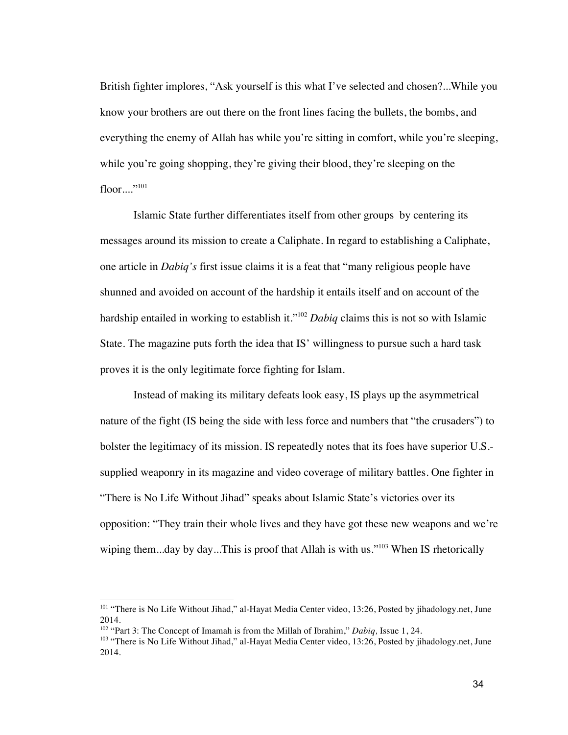British fighter implores, "Ask yourself is this what I've selected and chosen?...While you know your brothers are out there on the front lines facing the bullets, the bombs, and everything the enemy of Allah has while you're sitting in comfort, while you're sleeping, while you're going shopping, they're giving their blood, they're sleeping on the  $floor...$ ...<sup>101</sup>

Islamic State further differentiates itself from other groups by centering its messages around its mission to create a Caliphate. In regard to establishing a Caliphate, one article in *Dabiq's* first issue claims it is a feat that "many religious people have shunned and avoided on account of the hardship it entails itself and on account of the hardship entailed in working to establish it."102 *Dabiq* claims this is not so with Islamic State. The magazine puts forth the idea that IS' willingness to pursue such a hard task proves it is the only legitimate force fighting for Islam.

Instead of making its military defeats look easy, IS plays up the asymmetrical nature of the fight (IS being the side with less force and numbers that "the crusaders") to bolster the legitimacy of its mission. IS repeatedly notes that its foes have superior U.S. supplied weaponry in its magazine and video coverage of military battles. One fighter in "There is No Life Without Jihad" speaks about Islamic State's victories over its opposition: "They train their whole lives and they have got these new weapons and we're wiping them...day by day...This is proof that Allah is with us."<sup>103</sup> When IS rhetorically

<sup>&</sup>lt;sup>101</sup> "There is No Life Without Jihad," al-Hayat Media Center video, 13:26, Posted by jihadology.net, June 2014.

<sup>102</sup> "Part 3: The Concept of Imamah is from the Millah of Ibrahim," *Dabiq,* Issue 1, 24.

<sup>&</sup>lt;sup>103</sup> "There is No Life Without Jihad," al-Hayat Media Center video, 13:26, Posted by jihadology.net, June 2014.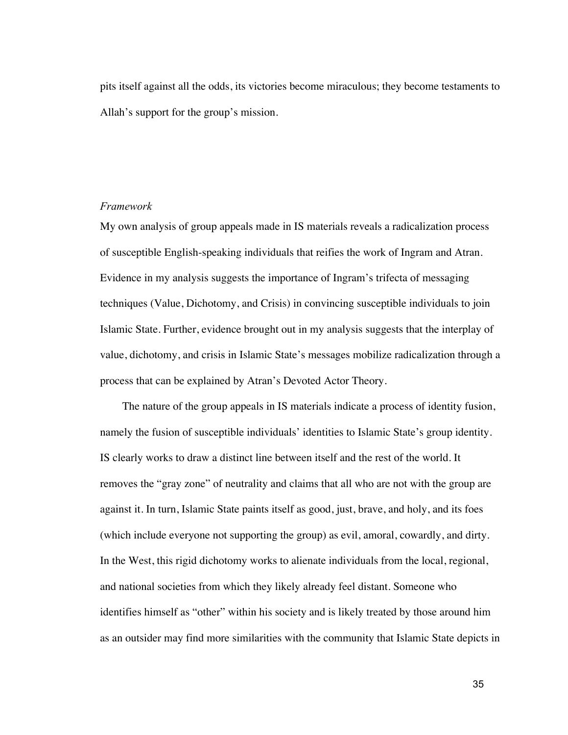pits itself against all the odds, its victories become miraculous; they become testaments to Allah's support for the group's mission.

#### *Framework*

My own analysis of group appeals made in IS materials reveals a radicalization process of susceptible English-speaking individuals that reifies the work of Ingram and Atran. Evidence in my analysis suggests the importance of Ingram's trifecta of messaging techniques (Value, Dichotomy, and Crisis) in convincing susceptible individuals to join Islamic State. Further, evidence brought out in my analysis suggests that the interplay of value, dichotomy, and crisis in Islamic State's messages mobilize radicalization through a process that can be explained by Atran's Devoted Actor Theory.

 The nature of the group appeals in IS materials indicate a process of identity fusion, namely the fusion of susceptible individuals' identities to Islamic State's group identity. IS clearly works to draw a distinct line between itself and the rest of the world. It removes the "gray zone" of neutrality and claims that all who are not with the group are against it. In turn, Islamic State paints itself as good, just, brave, and holy, and its foes (which include everyone not supporting the group) as evil, amoral, cowardly, and dirty. In the West, this rigid dichotomy works to alienate individuals from the local, regional, and national societies from which they likely already feel distant. Someone who identifies himself as "other" within his society and is likely treated by those around him as an outsider may find more similarities with the community that Islamic State depicts in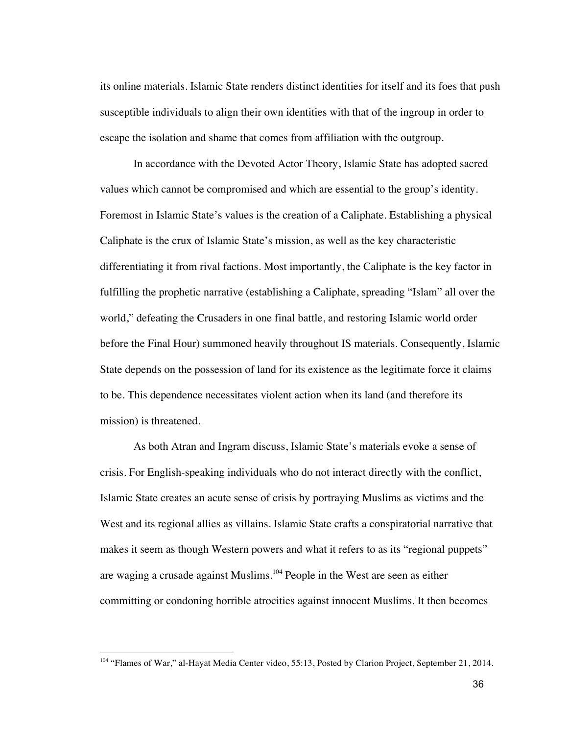its online materials. Islamic State renders distinct identities for itself and its foes that push susceptible individuals to align their own identities with that of the ingroup in order to escape the isolation and shame that comes from affiliation with the outgroup.

 In accordance with the Devoted Actor Theory, Islamic State has adopted sacred values which cannot be compromised and which are essential to the group's identity. Foremost in Islamic State's values is the creation of a Caliphate. Establishing a physical Caliphate is the crux of Islamic State's mission, as well as the key characteristic differentiating it from rival factions. Most importantly, the Caliphate is the key factor in fulfilling the prophetic narrative (establishing a Caliphate, spreading "Islam" all over the world," defeating the Crusaders in one final battle, and restoring Islamic world order before the Final Hour) summoned heavily throughout IS materials. Consequently, Islamic State depends on the possession of land for its existence as the legitimate force it claims to be. This dependence necessitates violent action when its land (and therefore its mission) is threatened.

As both Atran and Ingram discuss, Islamic State's materials evoke a sense of crisis. For English-speaking individuals who do not interact directly with the conflict, Islamic State creates an acute sense of crisis by portraying Muslims as victims and the West and its regional allies as villains. Islamic State crafts a conspiratorial narrative that makes it seem as though Western powers and what it refers to as its "regional puppets" are waging a crusade against Muslims.<sup>104</sup> People in the West are seen as either committing or condoning horrible atrocities against innocent Muslims. It then becomes

<sup>&</sup>lt;sup>104</sup> "Flames of War," al-Hayat Media Center video, 55:13, Posted by Clarion Project, September 21, 2014.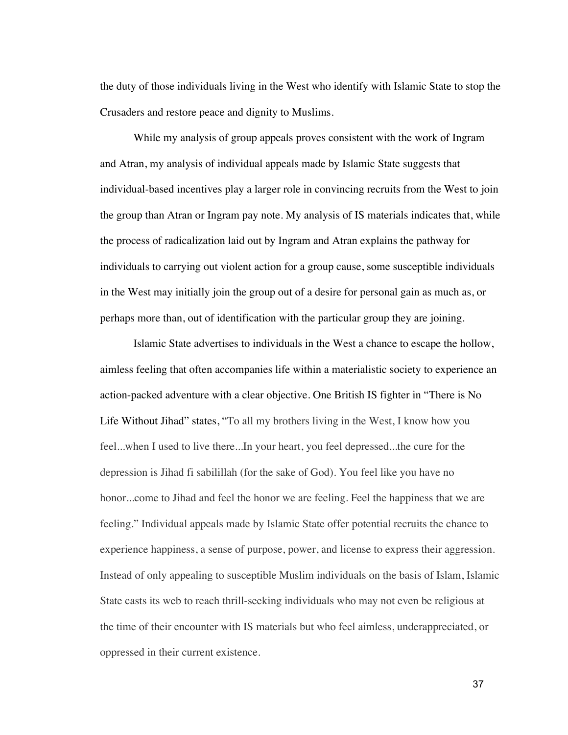the duty of those individuals living in the West who identify with Islamic State to stop the Crusaders and restore peace and dignity to Muslims.

 While my analysis of group appeals proves consistent with the work of Ingram and Atran, my analysis of individual appeals made by Islamic State suggests that individual-based incentives play a larger role in convincing recruits from the West to join the group than Atran or Ingram pay note. My analysis of IS materials indicates that, while the process of radicalization laid out by Ingram and Atran explains the pathway for individuals to carrying out violent action for a group cause, some susceptible individuals in the West may initially join the group out of a desire for personal gain as much as, or perhaps more than, out of identification with the particular group they are joining.

Islamic State advertises to individuals in the West a chance to escape the hollow, aimless feeling that often accompanies life within a materialistic society to experience an action-packed adventure with a clear objective. One British IS fighter in "There is No Life Without Jihad" states, "To all my brothers living in the West, I know how you feel...when I used to live there...In your heart, you feel depressed...the cure for the depression is Jihad fi sabilillah (for the sake of God). You feel like you have no honor...come to Jihad and feel the honor we are feeling. Feel the happiness that we are feeling." Individual appeals made by Islamic State offer potential recruits the chance to experience happiness, a sense of purpose, power, and license to express their aggression. Instead of only appealing to susceptible Muslim individuals on the basis of Islam, Islamic State casts its web to reach thrill-seeking individuals who may not even be religious at the time of their encounter with IS materials but who feel aimless, underappreciated, or oppressed in their current existence.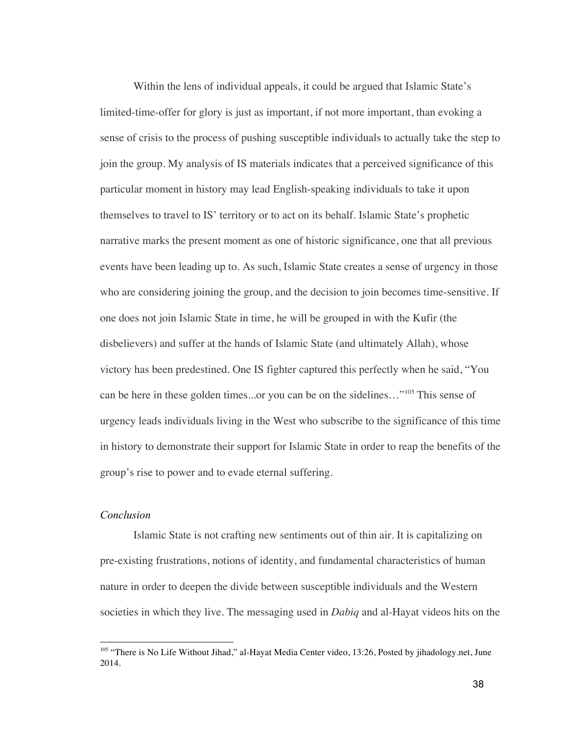Within the lens of individual appeals, it could be argued that Islamic State's limited-time-offer for glory is just as important, if not more important, than evoking a sense of crisis to the process of pushing susceptible individuals to actually take the step to join the group. My analysis of IS materials indicates that a perceived significance of this particular moment in history may lead English-speaking individuals to take it upon themselves to travel to IS' territory or to act on its behalf. Islamic State's prophetic narrative marks the present moment as one of historic significance, one that all previous events have been leading up to. As such, Islamic State creates a sense of urgency in those who are considering joining the group, and the decision to join becomes time-sensitive. If one does not join Islamic State in time, he will be grouped in with the Kufir (the disbelievers) and suffer at the hands of Islamic State (and ultimately Allah), whose victory has been predestined. One IS fighter captured this perfectly when he said, "You can be here in these golden times...or you can be on the sidelines…"<sup>105</sup> This sense of urgency leads individuals living in the West who subscribe to the significance of this time in history to demonstrate their support for Islamic State in order to reap the benefits of the group's rise to power and to evade eternal suffering.

## *Conclusion*

Islamic State is not crafting new sentiments out of thin air. It is capitalizing on pre-existing frustrations, notions of identity, and fundamental characteristics of human nature in order to deepen the divide between susceptible individuals and the Western societies in which they live. The messaging used in *Dabiq* and al-Hayat videos hits on the

<sup>&</sup>lt;sup>105</sup> "There is No Life Without Jihad," al-Hayat Media Center video, 13:26, Posted by jihadology.net, June 2014.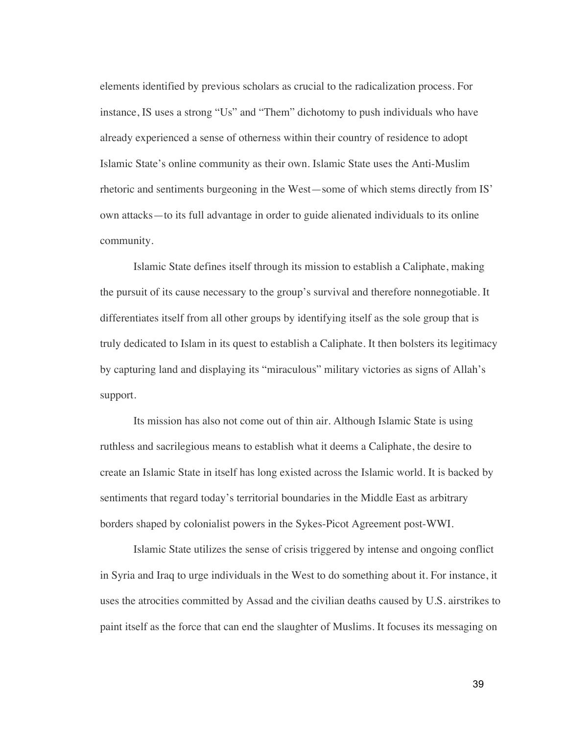elements identified by previous scholars as crucial to the radicalization process. For instance, IS uses a strong "Us" and "Them" dichotomy to push individuals who have already experienced a sense of otherness within their country of residence to adopt Islamic State's online community as their own. Islamic State uses the Anti-Muslim rhetoric and sentiments burgeoning in the West—some of which stems directly from IS' own attacks—to its full advantage in order to guide alienated individuals to its online community.

Islamic State defines itself through its mission to establish a Caliphate, making the pursuit of its cause necessary to the group's survival and therefore nonnegotiable. It differentiates itself from all other groups by identifying itself as the sole group that is truly dedicated to Islam in its quest to establish a Caliphate. It then bolsters its legitimacy by capturing land and displaying its "miraculous" military victories as signs of Allah's support.

Its mission has also not come out of thin air. Although Islamic State is using ruthless and sacrilegious means to establish what it deems a Caliphate, the desire to create an Islamic State in itself has long existed across the Islamic world. It is backed by sentiments that regard today's territorial boundaries in the Middle East as arbitrary borders shaped by colonialist powers in the Sykes-Picot Agreement post-WWI.

Islamic State utilizes the sense of crisis triggered by intense and ongoing conflict in Syria and Iraq to urge individuals in the West to do something about it. For instance, it uses the atrocities committed by Assad and the civilian deaths caused by U.S. airstrikes to paint itself as the force that can end the slaughter of Muslims. It focuses its messaging on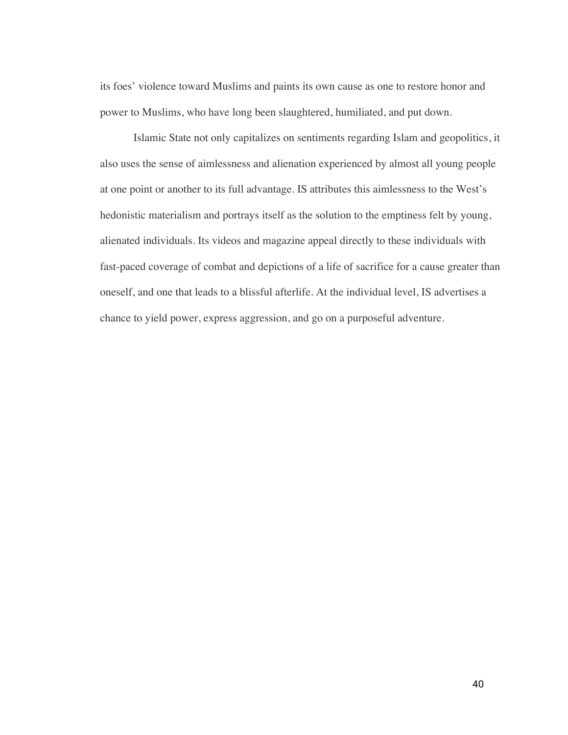its foes' violence toward Muslims and paints its own cause as one to restore honor and power to Muslims, who have long been slaughtered, humiliated, and put down.

Islamic State not only capitalizes on sentiments regarding Islam and geopolitics, it also uses the sense of aimlessness and alienation experienced by almost all young people at one point or another to its full advantage. IS attributes this aimlessness to the West's hedonistic materialism and portrays itself as the solution to the emptiness felt by young, alienated individuals. Its videos and magazine appeal directly to these individuals with fast-paced coverage of combat and depictions of a life of sacrifice for a cause greater than oneself, and one that leads to a blissful afterlife. At the individual level, IS advertises a chance to yield power, express aggression, and go on a purposeful adventure.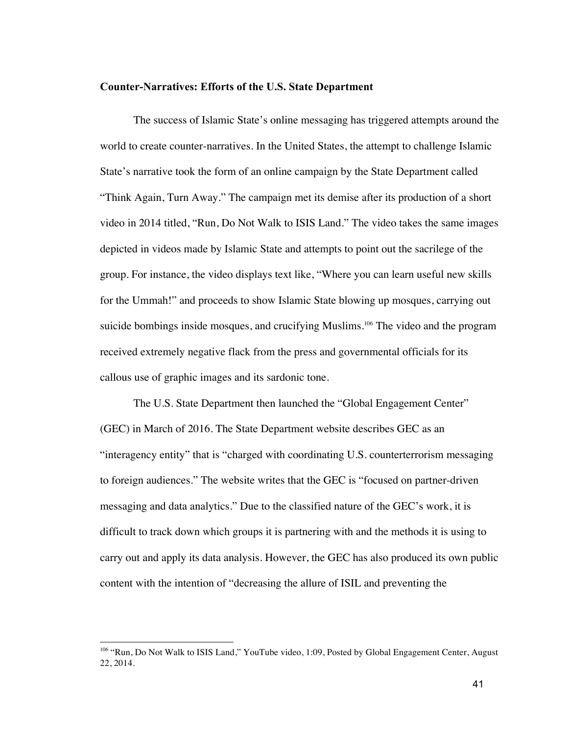#### **Counter-Narratives: Efforts of the U.S. State Department**

The success of Islamic State's online messaging has triggered attempts around the world to create counter-narratives. In the United States, the attempt to challenge Islamic State's narrative took the form of an online campaign by the State Department called "Think Again, Turn Away." The campaign met its demise after its production of a short video in 2014 titled, "Run, Do Not Walk to ISIS Land." The video takes the same images depicted in videos made by Islamic State and attempts to point out the sacrilege of the group. For instance, the video displays text like, "Where you can learn useful new skills for the Ummah!" and proceeds to show Islamic State blowing up mosques, carrying out suicide bombings inside mosques, and crucifying Muslims.<sup>106</sup> The video and the program received extremely negative flack from the press and governmental officials for its callous use of graphic images and its sardonic tone.

The U.S. State Department then launched the "Global Engagement Center" (GEC) in March of 2016. The State Department website describes GEC as an "interagency entity" that is "charged with coordinating U.S. counterterrorism messaging to foreign audiences." The website writes that the GEC is "focused on partner-driven messaging and data analytics." Due to the classified nature of the GEC's work, it is difficult to track down which groups it is partnering with and the methods it is using to carry out and apply its data analysis. However, the GEC has also produced its own public content with the intention of "decreasing the allure of ISIL and preventing the

<sup>&</sup>lt;sup>106</sup> "Run, Do Not Walk to ISIS Land," YouTube video, 1:09, Posted by Global Engagement Center, August 22, 2014.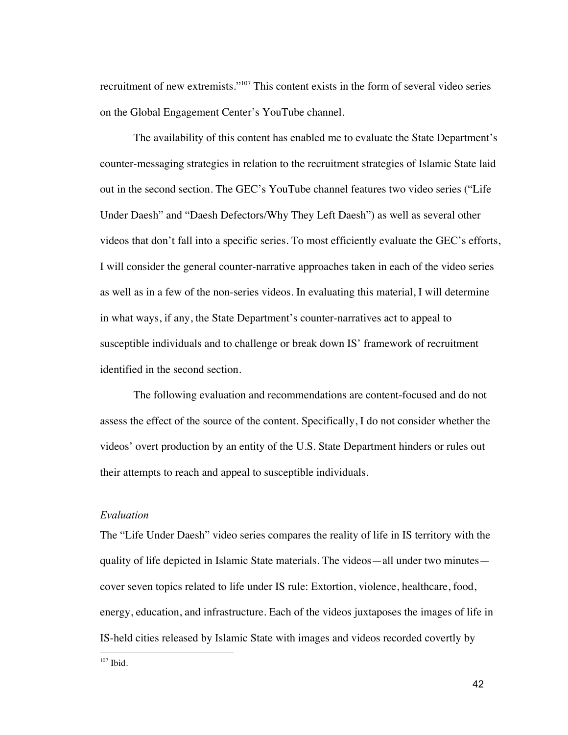recruitment of new extremists."107 This content exists in the form of several video series on the Global Engagement Center's YouTube channel.

The availability of this content has enabled me to evaluate the State Department's counter-messaging strategies in relation to the recruitment strategies of Islamic State laid out in the second section. The GEC's YouTube channel features two video series ("Life Under Daesh" and "Daesh Defectors/Why They Left Daesh") as well as several other videos that don't fall into a specific series. To most efficiently evaluate the GEC's efforts, I will consider the general counter-narrative approaches taken in each of the video series as well as in a few of the non-series videos. In evaluating this material, I will determine in what ways, if any, the State Department's counter-narratives act to appeal to susceptible individuals and to challenge or break down IS' framework of recruitment identified in the second section.

The following evaluation and recommendations are content-focused and do not assess the effect of the source of the content. Specifically, I do not consider whether the videos' overt production by an entity of the U.S. State Department hinders or rules out their attempts to reach and appeal to susceptible individuals.

## *Evaluation*

The "Life Under Daesh" video series compares the reality of life in IS territory with the quality of life depicted in Islamic State materials. The videos—all under two minutes cover seven topics related to life under IS rule: Extortion, violence, healthcare, food, energy, education, and infrastructure. Each of the videos juxtaposes the images of life in IS-held cities released by Islamic State with images and videos recorded covertly by

 $107$  Ibid.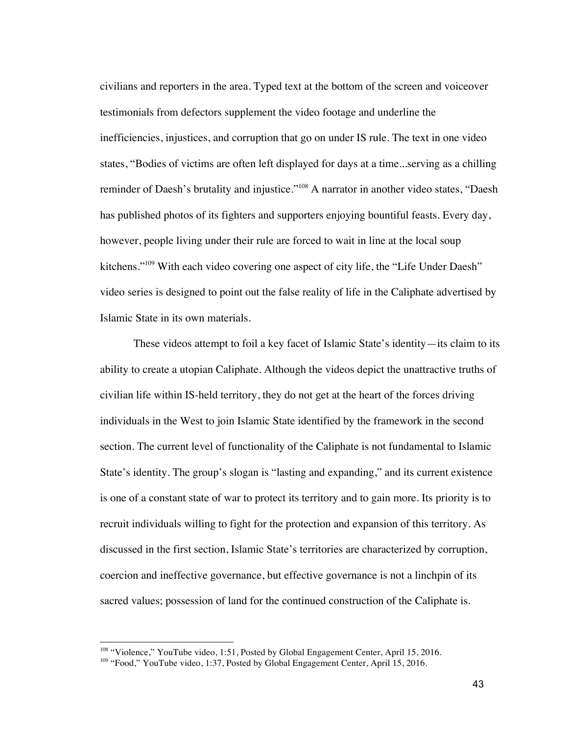civilians and reporters in the area. Typed text at the bottom of the screen and voiceover testimonials from defectors supplement the video footage and underline the inefficiencies, injustices, and corruption that go on under IS rule. The text in one video states, "Bodies of victims are often left displayed for days at a time...serving as a chilling reminder of Daesh's brutality and injustice."<sup>108</sup> A narrator in another video states, "Daesh" has published photos of its fighters and supporters enjoying bountiful feasts. Every day, however, people living under their rule are forced to wait in line at the local soup kitchens."109 With each video covering one aspect of city life, the "Life Under Daesh" video series is designed to point out the false reality of life in the Caliphate advertised by Islamic State in its own materials.

These videos attempt to foil a key facet of Islamic State's identity—its claim to its ability to create a utopian Caliphate. Although the videos depict the unattractive truths of civilian life within IS-held territory, they do not get at the heart of the forces driving individuals in the West to join Islamic State identified by the framework in the second section. The current level of functionality of the Caliphate is not fundamental to Islamic State's identity. The group's slogan is "lasting and expanding," and its current existence is one of a constant state of war to protect its territory and to gain more. Its priority is to recruit individuals willing to fight for the protection and expansion of this territory. As discussed in the first section, Islamic State's territories are characterized by corruption, coercion and ineffective governance, but effective governance is not a linchpin of its sacred values; possession of land for the continued construction of the Caliphate is.

<sup>&</sup>lt;sup>108</sup> "Violence," YouTube video, 1:51, Posted by Global Engagement Center, April 15, 2016.

<sup>&</sup>lt;sup>109</sup> "Food," YouTube video, 1:37, Posted by Global Engagement Center, April 15, 2016.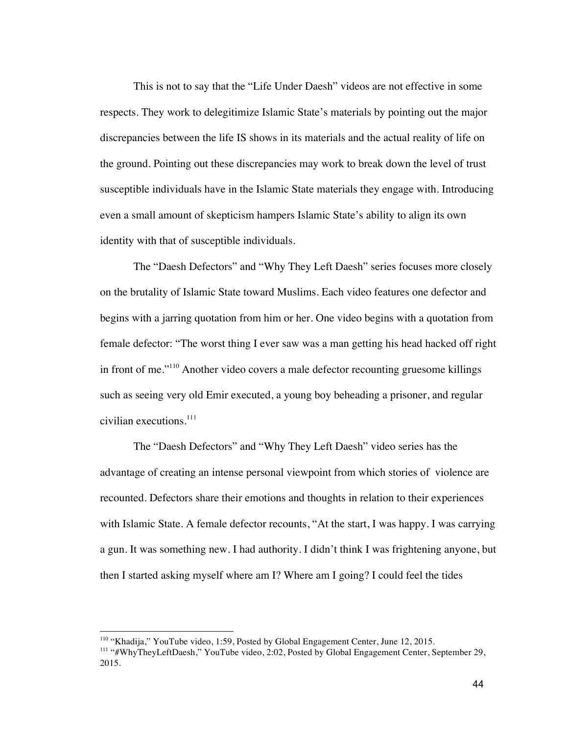This is not to say that the "Life Under Daesh" videos are not effective in some respects. They work to delegitimize Islamic State's materials by pointing out the major discrepancies between the life IS shows in its materials and the actual reality of life on the ground. Pointing out these discrepancies may work to break down the level of trust susceptible individuals have in the Islamic State materials they engage with. Introducing even a small amount of skepticism hampers Islamic State's ability to align its own identity with that of susceptible individuals.

The "Daesh Defectors" and "Why They Left Daesh" series focuses more closely on the brutality of Islamic State toward Muslims. Each video features one defector and begins with a jarring quotation from him or her. One video begins with a quotation from female defector: "The worst thing I ever saw was a man getting his head hacked off right in front of me."110 Another video covers a male defector recounting gruesome killings such as seeing very old Emir executed, a young boy beheading a prisoner, and regular civilian executions. $^{111}$ 

The "Daesh Defectors" and "Why They Left Daesh" video series has the advantage of creating an intense personal viewpoint from which stories of violence are recounted. Defectors share their emotions and thoughts in relation to their experiences with Islamic State. A female defector recounts, "At the start, I was happy. I was carrying a gun. It was something new. I had authority. I didn't think I was frightening anyone, but then I started asking myself where am I? Where am I going? I could feel the tides

<sup>&</sup>lt;sup>110</sup> "Khadija," YouTube video, 1:59, Posted by Global Engagement Center, June 12, 2015.

<sup>111</sup> "#WhyTheyLeftDaesh," YouTube video, 2:02, Posted by Global Engagement Center, September 29, 2015.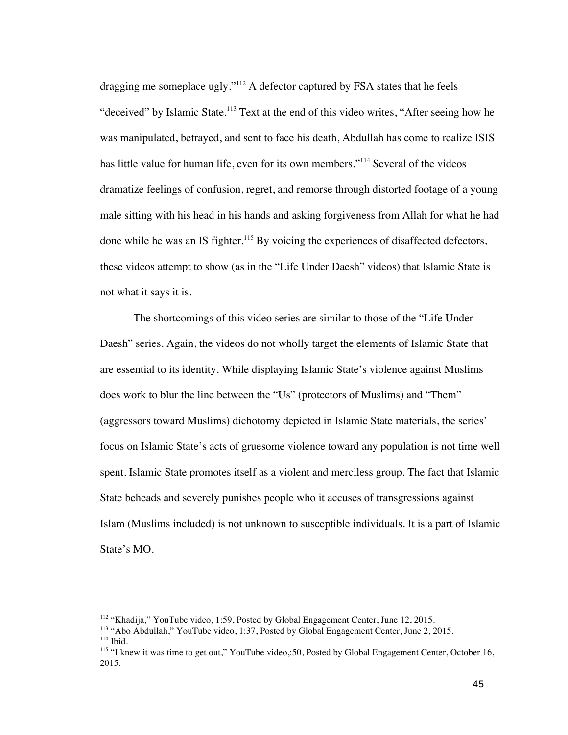dragging me someplace ugly."<sup>112</sup> A defector captured by FSA states that he feels "deceived" by Islamic State.<sup>113</sup> Text at the end of this video writes, "After seeing how he was manipulated, betrayed, and sent to face his death, Abdullah has come to realize ISIS has little value for human life, even for its own members."<sup>114</sup> Several of the videos dramatize feelings of confusion, regret, and remorse through distorted footage of a young male sitting with his head in his hands and asking forgiveness from Allah for what he had done while he was an IS fighter.<sup>115</sup> By voicing the experiences of disaffected defectors, these videos attempt to show (as in the "Life Under Daesh" videos) that Islamic State is not what it says it is.

The shortcomings of this video series are similar to those of the "Life Under Daesh" series. Again, the videos do not wholly target the elements of Islamic State that are essential to its identity. While displaying Islamic State's violence against Muslims does work to blur the line between the "Us" (protectors of Muslims) and "Them" (aggressors toward Muslims) dichotomy depicted in Islamic State materials, the series' focus on Islamic State's acts of gruesome violence toward any population is not time well spent. Islamic State promotes itself as a violent and merciless group. The fact that Islamic State beheads and severely punishes people who it accuses of transgressions against Islam (Muslims included) is not unknown to susceptible individuals. It is a part of Islamic State's MO.

<sup>&</sup>lt;sup>112</sup> "Khadija," YouTube video, 1:59, Posted by Global Engagement Center, June 12, 2015.

<sup>113</sup> "Abo Abdullah," YouTube video, 1:37, Posted by Global Engagement Center, June 2, 2015.  $114$  Ibid.

<sup>&</sup>lt;sup>115</sup> "I knew it was time to get out," YouTube video,:50, Posted by Global Engagement Center, October 16, 2015.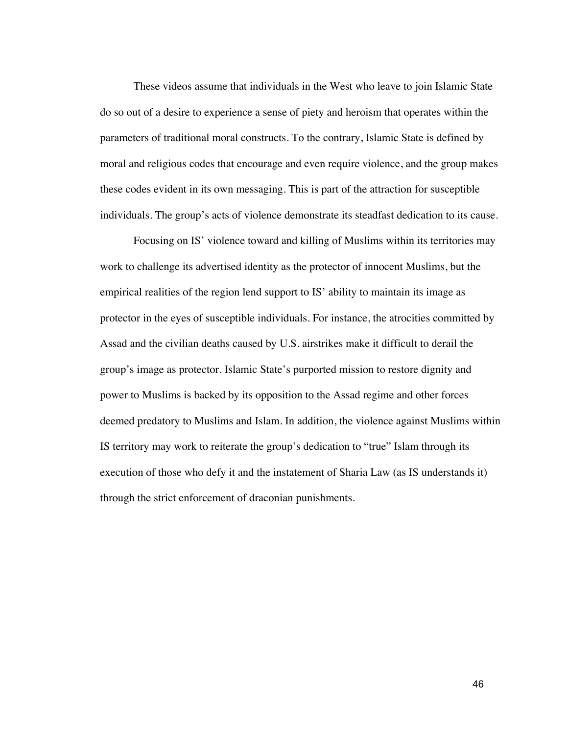These videos assume that individuals in the West who leave to join Islamic State do so out of a desire to experience a sense of piety and heroism that operates within the parameters of traditional moral constructs. To the contrary, Islamic State is defined by moral and religious codes that encourage and even require violence, and the group makes these codes evident in its own messaging. This is part of the attraction for susceptible individuals. The group's acts of violence demonstrate its steadfast dedication to its cause.

Focusing on IS' violence toward and killing of Muslims within its territories may work to challenge its advertised identity as the protector of innocent Muslims, but the empirical realities of the region lend support to IS' ability to maintain its image as protector in the eyes of susceptible individuals. For instance, the atrocities committed by Assad and the civilian deaths caused by U.S. airstrikes make it difficult to derail the group's image as protector. Islamic State's purported mission to restore dignity and power to Muslims is backed by its opposition to the Assad regime and other forces deemed predatory to Muslims and Islam. In addition, the violence against Muslims within IS territory may work to reiterate the group's dedication to "true" Islam through its execution of those who defy it and the instatement of Sharia Law (as IS understands it) through the strict enforcement of draconian punishments.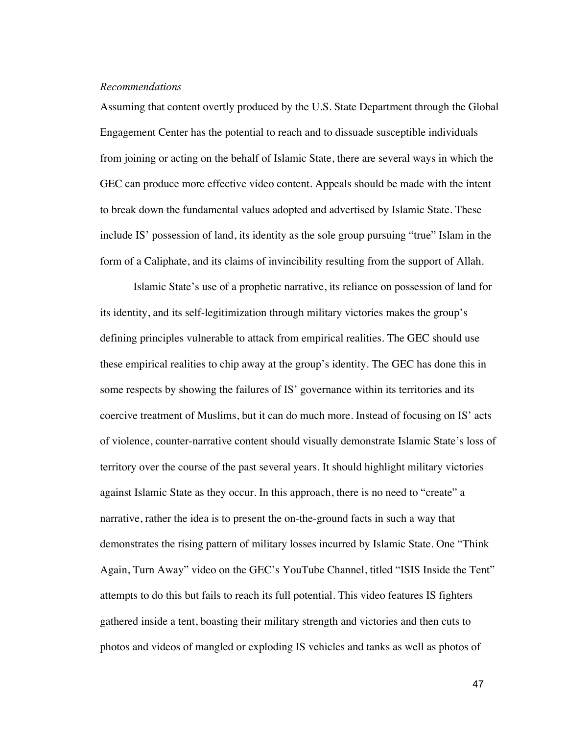#### *Recommendations*

Assuming that content overtly produced by the U.S. State Department through the Global Engagement Center has the potential to reach and to dissuade susceptible individuals from joining or acting on the behalf of Islamic State, there are several ways in which the GEC can produce more effective video content. Appeals should be made with the intent to break down the fundamental values adopted and advertised by Islamic State. These include IS' possession of land, its identity as the sole group pursuing "true" Islam in the form of a Caliphate, and its claims of invincibility resulting from the support of Allah.

Islamic State's use of a prophetic narrative, its reliance on possession of land for its identity, and its self-legitimization through military victories makes the group's defining principles vulnerable to attack from empirical realities. The GEC should use these empirical realities to chip away at the group's identity. The GEC has done this in some respects by showing the failures of IS' governance within its territories and its coercive treatment of Muslims, but it can do much more. Instead of focusing on IS' acts of violence, counter-narrative content should visually demonstrate Islamic State's loss of territory over the course of the past several years. It should highlight military victories against Islamic State as they occur. In this approach, there is no need to "create" a narrative, rather the idea is to present the on-the-ground facts in such a way that demonstrates the rising pattern of military losses incurred by Islamic State. One "Think Again, Turn Away" video on the GEC's YouTube Channel, titled "ISIS Inside the Tent" attempts to do this but fails to reach its full potential. This video features IS fighters gathered inside a tent, boasting their military strength and victories and then cuts to photos and videos of mangled or exploding IS vehicles and tanks as well as photos of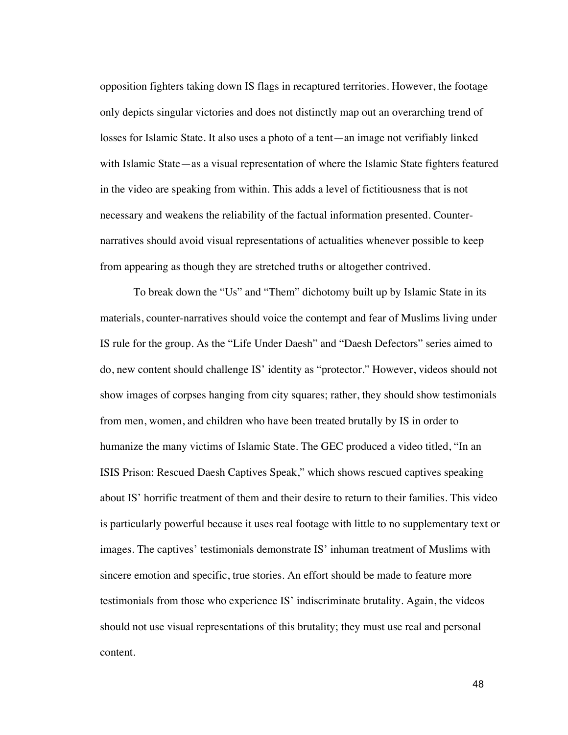opposition fighters taking down IS flags in recaptured territories. However, the footage only depicts singular victories and does not distinctly map out an overarching trend of losses for Islamic State. It also uses a photo of a tent—an image not verifiably linked with Islamic State—as a visual representation of where the Islamic State fighters featured in the video are speaking from within. This adds a level of fictitiousness that is not necessary and weakens the reliability of the factual information presented. Counternarratives should avoid visual representations of actualities whenever possible to keep from appearing as though they are stretched truths or altogether contrived.

To break down the "Us" and "Them" dichotomy built up by Islamic State in its materials, counter-narratives should voice the contempt and fear of Muslims living under IS rule for the group. As the "Life Under Daesh" and "Daesh Defectors" series aimed to do, new content should challenge IS' identity as "protector." However, videos should not show images of corpses hanging from city squares; rather, they should show testimonials from men, women, and children who have been treated brutally by IS in order to humanize the many victims of Islamic State. The GEC produced a video titled, "In an ISIS Prison: Rescued Daesh Captives Speak," which shows rescued captives speaking about IS' horrific treatment of them and their desire to return to their families. This video is particularly powerful because it uses real footage with little to no supplementary text or images. The captives' testimonials demonstrate IS' inhuman treatment of Muslims with sincere emotion and specific, true stories. An effort should be made to feature more testimonials from those who experience IS' indiscriminate brutality. Again, the videos should not use visual representations of this brutality; they must use real and personal content.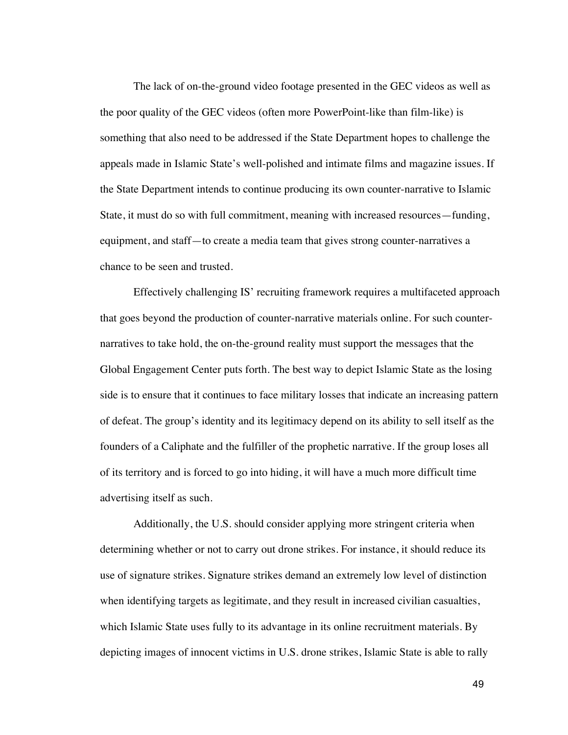The lack of on-the-ground video footage presented in the GEC videos as well as the poor quality of the GEC videos (often more PowerPoint-like than film-like) is something that also need to be addressed if the State Department hopes to challenge the appeals made in Islamic State's well-polished and intimate films and magazine issues. If the State Department intends to continue producing its own counter-narrative to Islamic State, it must do so with full commitment, meaning with increased resources—funding, equipment, and staff—to create a media team that gives strong counter-narratives a chance to be seen and trusted.

Effectively challenging IS' recruiting framework requires a multifaceted approach that goes beyond the production of counter-narrative materials online. For such counternarratives to take hold, the on-the-ground reality must support the messages that the Global Engagement Center puts forth. The best way to depict Islamic State as the losing side is to ensure that it continues to face military losses that indicate an increasing pattern of defeat. The group's identity and its legitimacy depend on its ability to sell itself as the founders of a Caliphate and the fulfiller of the prophetic narrative. If the group loses all of its territory and is forced to go into hiding, it will have a much more difficult time advertising itself as such.

Additionally, the U.S. should consider applying more stringent criteria when determining whether or not to carry out drone strikes. For instance, it should reduce its use of signature strikes. Signature strikes demand an extremely low level of distinction when identifying targets as legitimate, and they result in increased civilian casualties, which Islamic State uses fully to its advantage in its online recruitment materials. By depicting images of innocent victims in U.S. drone strikes, Islamic State is able to rally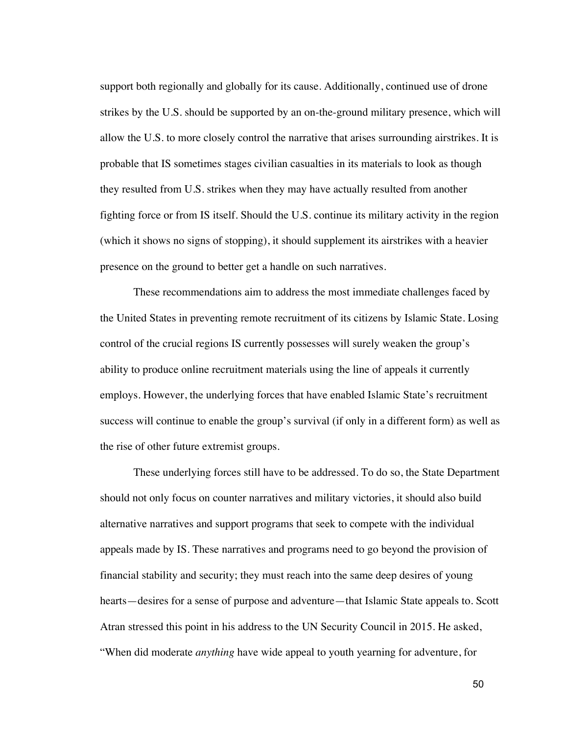support both regionally and globally for its cause. Additionally, continued use of drone strikes by the U.S. should be supported by an on-the-ground military presence, which will allow the U.S. to more closely control the narrative that arises surrounding airstrikes. It is probable that IS sometimes stages civilian casualties in its materials to look as though they resulted from U.S. strikes when they may have actually resulted from another fighting force or from IS itself. Should the U.S. continue its military activity in the region (which it shows no signs of stopping), it should supplement its airstrikes with a heavier presence on the ground to better get a handle on such narratives.

These recommendations aim to address the most immediate challenges faced by the United States in preventing remote recruitment of its citizens by Islamic State. Losing control of the crucial regions IS currently possesses will surely weaken the group's ability to produce online recruitment materials using the line of appeals it currently employs. However, the underlying forces that have enabled Islamic State's recruitment success will continue to enable the group's survival (if only in a different form) as well as the rise of other future extremist groups.

These underlying forces still have to be addressed. To do so, the State Department should not only focus on counter narratives and military victories, it should also build alternative narratives and support programs that seek to compete with the individual appeals made by IS. These narratives and programs need to go beyond the provision of financial stability and security; they must reach into the same deep desires of young hearts—desires for a sense of purpose and adventure—that Islamic State appeals to. Scott Atran stressed this point in his address to the UN Security Council in 2015. He asked, "When did moderate *anything* have wide appeal to youth yearning for adventure, for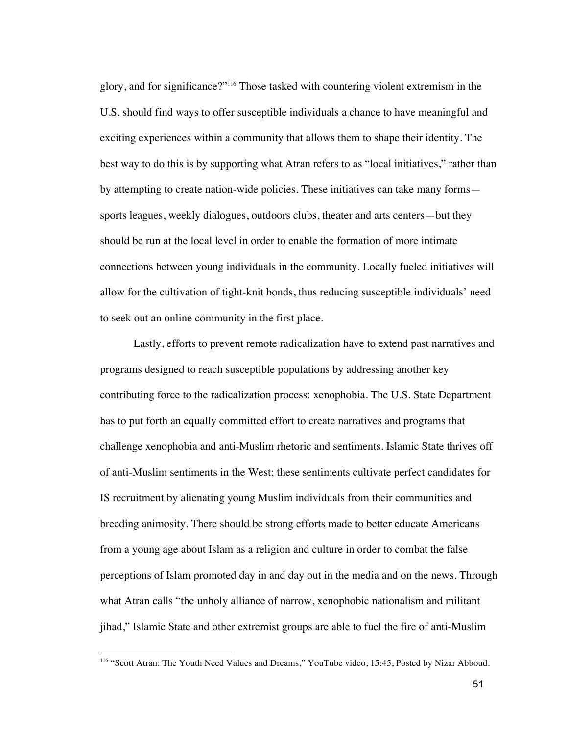glory, and for significance?"116 Those tasked with countering violent extremism in the U.S. should find ways to offer susceptible individuals a chance to have meaningful and exciting experiences within a community that allows them to shape their identity. The best way to do this is by supporting what Atran refers to as "local initiatives," rather than by attempting to create nation-wide policies. These initiatives can take many forms sports leagues, weekly dialogues, outdoors clubs, theater and arts centers—but they should be run at the local level in order to enable the formation of more intimate connections between young individuals in the community. Locally fueled initiatives will allow for the cultivation of tight-knit bonds, thus reducing susceptible individuals' need to seek out an online community in the first place.

Lastly, efforts to prevent remote radicalization have to extend past narratives and programs designed to reach susceptible populations by addressing another key contributing force to the radicalization process: xenophobia. The U.S. State Department has to put forth an equally committed effort to create narratives and programs that challenge xenophobia and anti-Muslim rhetoric and sentiments. Islamic State thrives off of anti-Muslim sentiments in the West; these sentiments cultivate perfect candidates for IS recruitment by alienating young Muslim individuals from their communities and breeding animosity. There should be strong efforts made to better educate Americans from a young age about Islam as a religion and culture in order to combat the false perceptions of Islam promoted day in and day out in the media and on the news. Through what Atran calls "the unholy alliance of narrow, xenophobic nationalism and militant jihad," Islamic State and other extremist groups are able to fuel the fire of anti-Muslim

<sup>&</sup>lt;sup>116</sup> "Scott Atran: The Youth Need Values and Dreams," YouTube video, 15:45, Posted by Nizar Abboud.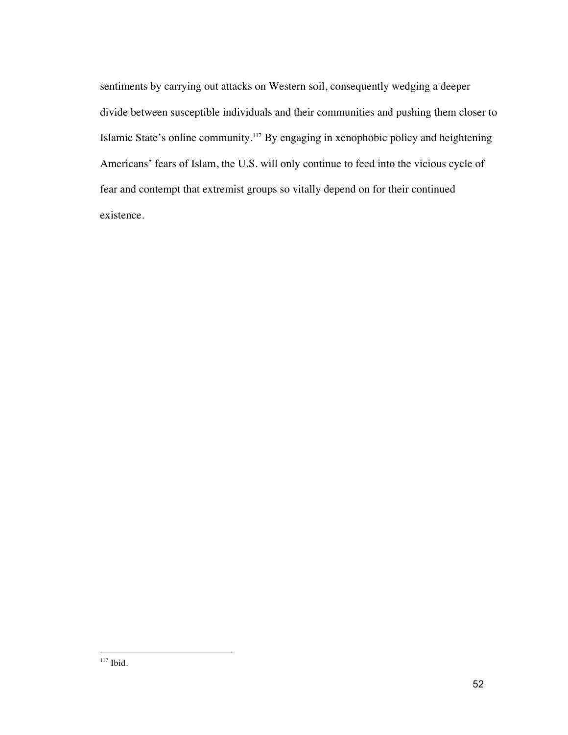sentiments by carrying out attacks on Western soil, consequently wedging a deeper divide between susceptible individuals and their communities and pushing them closer to Islamic State's online community.<sup>117</sup> By engaging in xenophobic policy and heightening Americans' fears of Islam, the U.S. will only continue to feed into the vicious cycle of fear and contempt that extremist groups so vitally depend on for their continued existence.

 $117$  Ibid.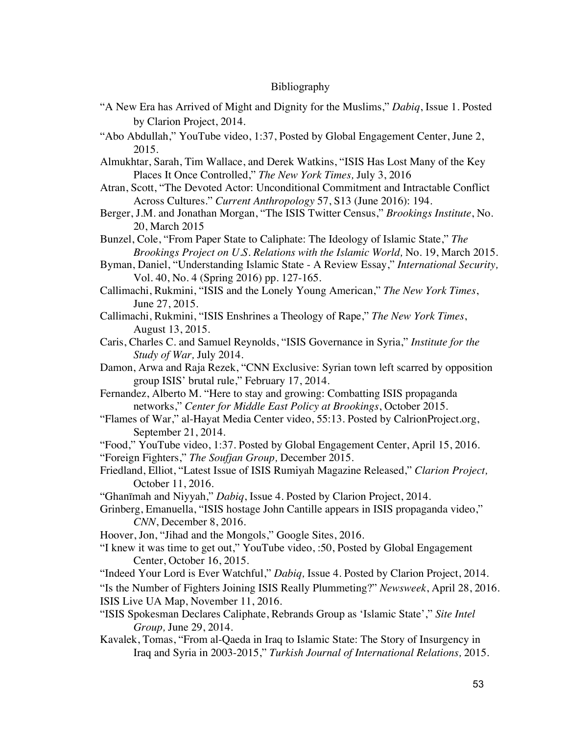# Bibliography

- "A New Era has Arrived of Might and Dignity for the Muslims," *Dabiq*, Issue 1. Posted by Clarion Project, 2014.
- "Abo Abdullah," YouTube video, 1:37, Posted by Global Engagement Center, June 2, 2015.
- Almukhtar, Sarah, Tim Wallace, and Derek Watkins, "ISIS Has Lost Many of the Key Places It Once Controlled," *The New York Times,* July 3, 2016
- Atran, Scott, "The Devoted Actor: Unconditional Commitment and Intractable Conflict Across Cultures." *Current Anthropology* 57, S13 (June 2016): 194.
- Berger, J.M. and Jonathan Morgan, "The ISIS Twitter Census," *Brookings Institute*, No. 20, March 2015
- Bunzel, Cole, "From Paper State to Caliphate: The Ideology of Islamic State," *The Brookings Project on U.S. Relations with the Islamic World,* No. 19, March 2015.
- Byman, Daniel, "Understanding Islamic State A Review Essay," *International Security,* Vol. 40, No. 4 (Spring 2016) pp. 127-165.
- Callimachi, Rukmini, "ISIS and the Lonely Young American," *The New York Times*, June 27, 2015.
- Callimachi, Rukmini, "ISIS Enshrines a Theology of Rape," *The New York Times*, August 13, 2015.
- Caris, Charles C. and Samuel Reynolds, "ISIS Governance in Syria," *Institute for the Study of War,* July 2014.
- Damon, Arwa and Raja Rezek, "CNN Exclusive: Syrian town left scarred by opposition group ISIS' brutal rule," February 17, 2014.
- Fernandez, Alberto M. "Here to stay and growing: Combatting ISIS propaganda networks," *Center for Middle East Policy at Brookings*, October 2015.
- "Flames of War," al-Hayat Media Center video, 55:13. Posted by CalrionProject.org, September 21, 2014.
- "Food," YouTube video, 1:37. Posted by Global Engagement Center, April 15, 2016. "Foreign Fighters," *The Soufjan Group,* December 2015.
- Friedland, Elliot, "Latest Issue of ISIS Rumiyah Magazine Released," *Clarion Project,*  October 11, 2016.

"Ghanīmah and Niyyah," *Dabiq*, Issue 4. Posted by Clarion Project, 2014.

Grinberg, Emanuella, "ISIS hostage John Cantille appears in ISIS propaganda video," *CNN*, December 8, 2016.

- Hoover, Jon, "Jihad and the Mongols," Google Sites, 2016.
- "I knew it was time to get out," YouTube video, :50, Posted by Global Engagement Center, October 16, 2015.

"Indeed Your Lord is Ever Watchful," *Dabiq,* Issue 4. Posted by Clarion Project, 2014. "Is the Number of Fighters Joining ISIS Really Plummeting?" *Newsweek*, April 28, 2016. ISIS Live UA Map, November 11, 2016.

- "ISIS Spokesman Declares Caliphate, Rebrands Group as 'Islamic State'," *Site Intel Group,* June 29, 2014.
- Kavalek, Tomas, "From al-Qaeda in Iraq to Islamic State: The Story of Insurgency in Iraq and Syria in 2003-2015," *Turkish Journal of International Relations,* 2015.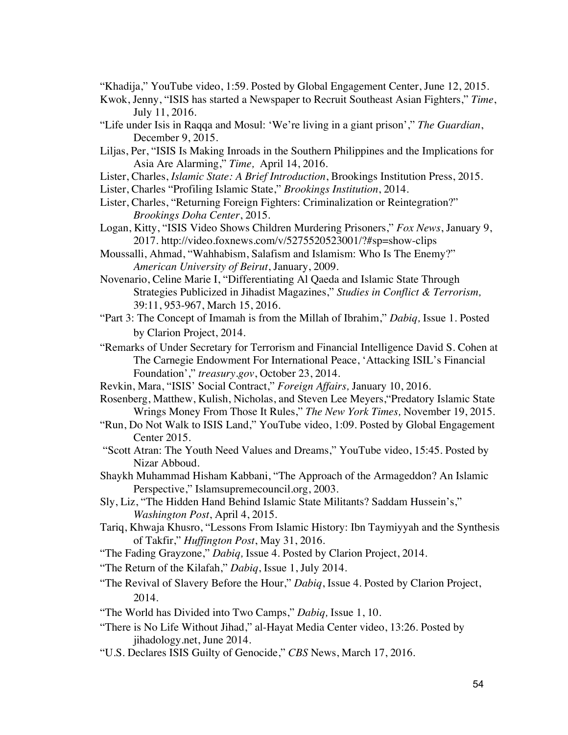"Khadija," YouTube video, 1:59. Posted by Global Engagement Center, June 12, 2015.

- Kwok, Jenny, "ISIS has started a Newspaper to Recruit Southeast Asian Fighters," *Time*, July 11, 2016.
- "Life under Isis in Raqqa and Mosul: 'We're living in a giant prison'," *The Guardian*, December 9, 2015.
- Liljas, Per, "ISIS Is Making Inroads in the Southern Philippines and the Implications for Asia Are Alarming," *Time,* April 14, 2016.
- Lister, Charles, *Islamic State: A Brief Introduction*, Brookings Institution Press, 2015.
- Lister, Charles "Profiling Islamic State," *Brookings Institution*, 2014.
- Lister, Charles, "Returning Foreign Fighters: Criminalization or Reintegration?" *Brookings Doha Center*, 2015.
- Logan, Kitty, "ISIS Video Shows Children Murdering Prisoners," *Fox News*, January 9, 2017. http://video.foxnews.com/v/5275520523001/?#sp=show-clips
- Moussalli, Ahmad, "Wahhabism, Salafism and Islamism: Who Is The Enemy?" *American University of Beirut*, January, 2009.
- Novenario, Celine Marie I, "Differentiating Al Qaeda and Islamic State Through Strategies Publicized in Jihadist Magazines," *Studies in Conflict & Terrorism,*  39:11, 953-967, March 15, 2016.
- "Part 3: The Concept of Imamah is from the Millah of Ibrahim," *Dabiq,* Issue 1. Posted by Clarion Project, 2014.
- "Remarks of Under Secretary for Terrorism and Financial Intelligence David S. Cohen at The Carnegie Endowment For International Peace, 'Attacking ISIL's Financial Foundation'," *treasury.gov*, October 23, 2014.
- Revkin, Mara, "ISIS' Social Contract," *Foreign Affairs,* January 10, 2016.
- Rosenberg, Matthew, Kulish, Nicholas, and Steven Lee Meyers,"Predatory Islamic State Wrings Money From Those It Rules," *The New York Times,* November 19, 2015.
- "Run, Do Not Walk to ISIS Land," YouTube video, 1:09. Posted by Global Engagement Center 2015.
- "Scott Atran: The Youth Need Values and Dreams," YouTube video, 15:45. Posted by Nizar Abboud.
- Shaykh Muhammad Hisham Kabbani, "The Approach of the Armageddon? An Islamic Perspective," Islamsupremecouncil.org, 2003.
- Sly, Liz, "The Hidden Hand Behind Islamic State Militants? Saddam Hussein's," *Washington Post*, April 4, 2015.
- Tariq, Khwaja Khusro, "Lessons From Islamic History: Ibn Taymiyyah and the Synthesis of Takfir," *Huffington Post*, May 31, 2016.
- "The Fading Grayzone," *Dabiq,* Issue 4. Posted by Clarion Project, 2014.
- "The Return of the Kilafah," *Dabiq*, Issue 1, July 2014.
- "The Revival of Slavery Before the Hour," *Dabiq*, Issue 4. Posted by Clarion Project, 2014.
- "The World has Divided into Two Camps," *Dabiq,* Issue 1, 10.
- "There is No Life Without Jihad," al-Hayat Media Center video, 13:26. Posted by jihadology.net, June 2014.
- "U.S. Declares ISIS Guilty of Genocide," *CBS* News, March 17, 2016.